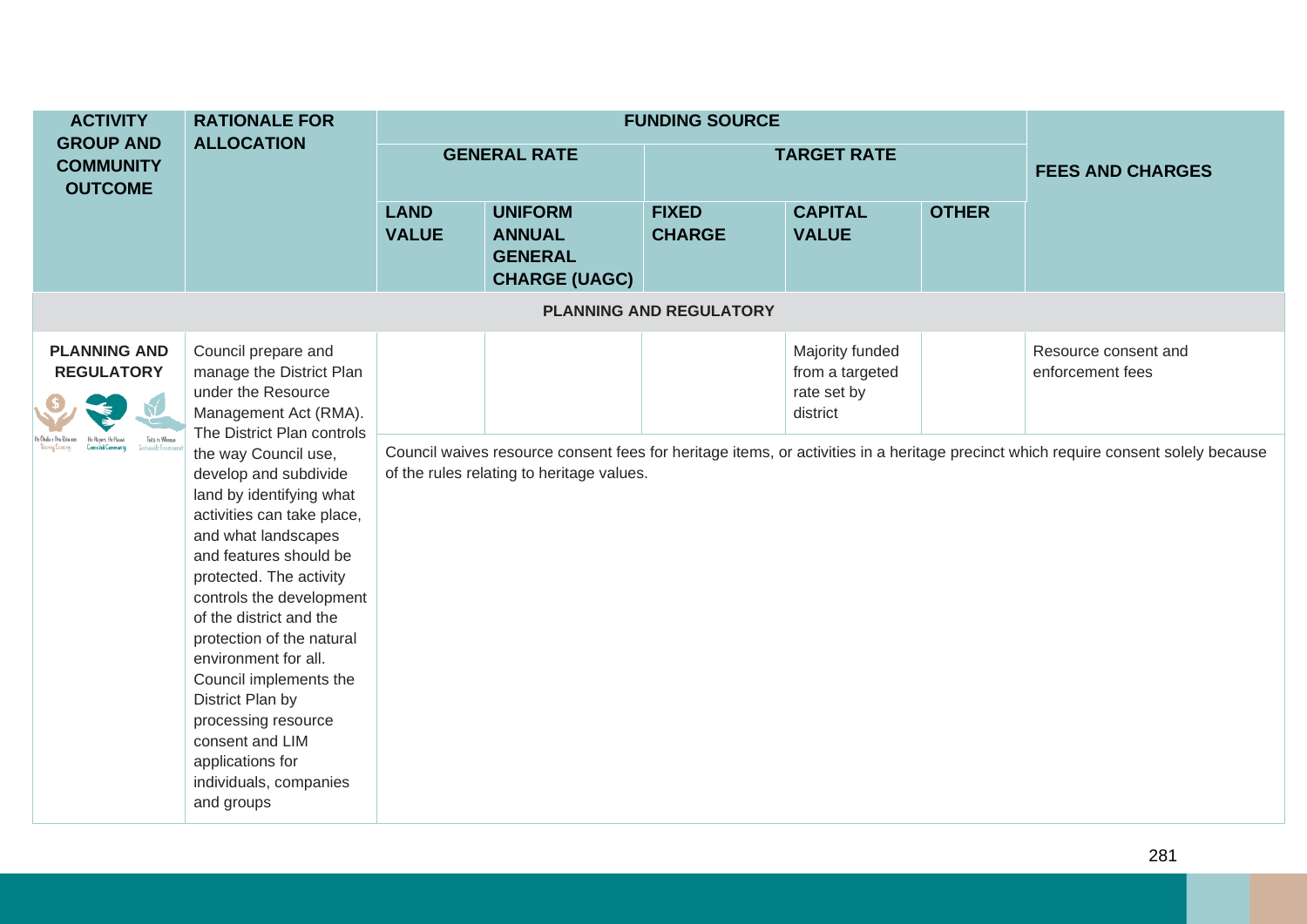| <b>ACTIVITY</b>                                                                   | <b>RATIONALE FOR</b><br><b>ALLOCATION</b>                                                                                                                                                                                                                                                                                                                                                               |                             |                                                                           | <b>FUNDING SOURCE</b>          |                                                               |              |                                                                                                                                                                                |
|-----------------------------------------------------------------------------------|---------------------------------------------------------------------------------------------------------------------------------------------------------------------------------------------------------------------------------------------------------------------------------------------------------------------------------------------------------------------------------------------------------|-----------------------------|---------------------------------------------------------------------------|--------------------------------|---------------------------------------------------------------|--------------|--------------------------------------------------------------------------------------------------------------------------------------------------------------------------------|
| <b>GROUP AND</b><br><b>COMMUNITY</b><br><b>OUTCOME</b>                            |                                                                                                                                                                                                                                                                                                                                                                                                         |                             | <b>GENERAL RATE</b>                                                       |                                | <b>TARGET RATE</b>                                            |              | <b>FEES AND CHARGES</b>                                                                                                                                                        |
|                                                                                   |                                                                                                                                                                                                                                                                                                                                                                                                         | <b>LAND</b><br><b>VALUE</b> | <b>UNIFORM</b><br><b>ANNUAL</b><br><b>GENERAL</b><br><b>CHARGE (UAGC)</b> | <b>FIXED</b><br><b>CHARGE</b>  | <b>CAPITAL</b><br><b>VALUE</b>                                | <b>OTHER</b> |                                                                                                                                                                                |
|                                                                                   |                                                                                                                                                                                                                                                                                                                                                                                                         |                             |                                                                           | <b>PLANNING AND REGULATORY</b> |                                                               |              |                                                                                                                                                                                |
| <b>PLANNING AND</b><br><b>REGULATORY</b><br>Toita te Whema<br>Sustainable Emironi | Council prepare and<br>manage the District Plan<br>under the Resource<br>Management Act (RMA).<br>The District Plan controls<br>the way Council use,<br>develop and subdivide<br>land by identifying what<br>activities can take place,<br>and what landscapes<br>and features should be<br>protected. The activity<br>controls the development<br>of the district and the<br>protection of the natural |                             | of the rules relating to heritage values.                                 |                                | Majority funded<br>from a targeted<br>rate set by<br>district |              | Resource consent and<br>enforcement fees<br>Council waives resource consent fees for heritage items, or activities in a heritage precinct which require consent solely because |
|                                                                                   | environment for all.<br>Council implements the<br>District Plan by<br>processing resource<br>consent and LIM<br>applications for<br>individuals, companies<br>and groups                                                                                                                                                                                                                                |                             |                                                                           |                                |                                                               |              |                                                                                                                                                                                |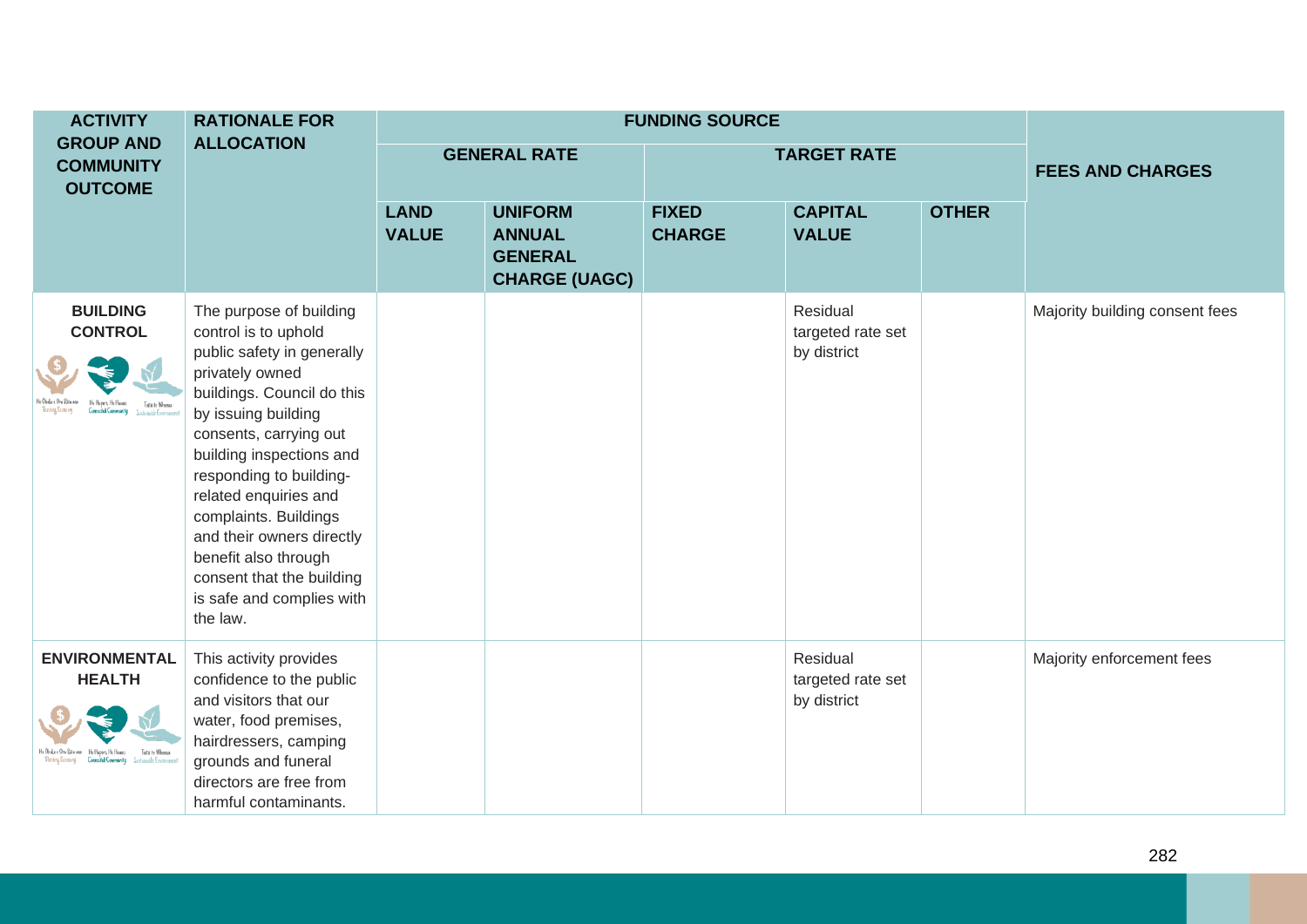| <b>ACTIVITY</b>                                           | <b>RATIONALE FOR</b>                                                                                                                                                                                                                                                                                                                                                                                                |                             | <b>FUNDING SOURCE</b>                                                     |                               |                                              |              |                                |
|-----------------------------------------------------------|---------------------------------------------------------------------------------------------------------------------------------------------------------------------------------------------------------------------------------------------------------------------------------------------------------------------------------------------------------------------------------------------------------------------|-----------------------------|---------------------------------------------------------------------------|-------------------------------|----------------------------------------------|--------------|--------------------------------|
| <b>GROUP AND</b><br><b>COMMUNITY</b><br><b>OUTCOME</b>    | <b>ALLOCATION</b>                                                                                                                                                                                                                                                                                                                                                                                                   |                             | <b>GENERAL RATE</b>                                                       |                               | <b>TARGET RATE</b>                           |              | <b>FEES AND CHARGES</b>        |
|                                                           |                                                                                                                                                                                                                                                                                                                                                                                                                     | <b>LAND</b><br><b>VALUE</b> | <b>UNIFORM</b><br><b>ANNUAL</b><br><b>GENERAL</b><br><b>CHARGE (UAGC)</b> | <b>FIXED</b><br><b>CHARGE</b> | <b>CAPITAL</b><br><b>VALUE</b>               | <b>OTHER</b> |                                |
| <b>BUILDING</b><br><b>CONTROL</b><br>Toiti te Whoma       | The purpose of building<br>control is to uphold<br>public safety in generally<br>privately owned<br>buildings. Council do this<br>by issuing building<br>consents, carrying out<br>building inspections and<br>responding to building-<br>related enquiries and<br>complaints. Buildings<br>and their owners directly<br>benefit also through<br>consent that the building<br>is safe and complies with<br>the law. |                             |                                                                           |                               | Residual<br>targeted rate set<br>by district |              | Majority building consent fees |
| <b>ENVIRONMENTAL</b><br><b>HEALTH</b><br>Toitii te Whenua | This activity provides<br>confidence to the public<br>and visitors that our<br>water, food premises,<br>hairdressers, camping<br>grounds and funeral<br>directors are free from<br>harmful contaminants.                                                                                                                                                                                                            |                             |                                                                           |                               | Residual<br>targeted rate set<br>by district |              | Majority enforcement fees      |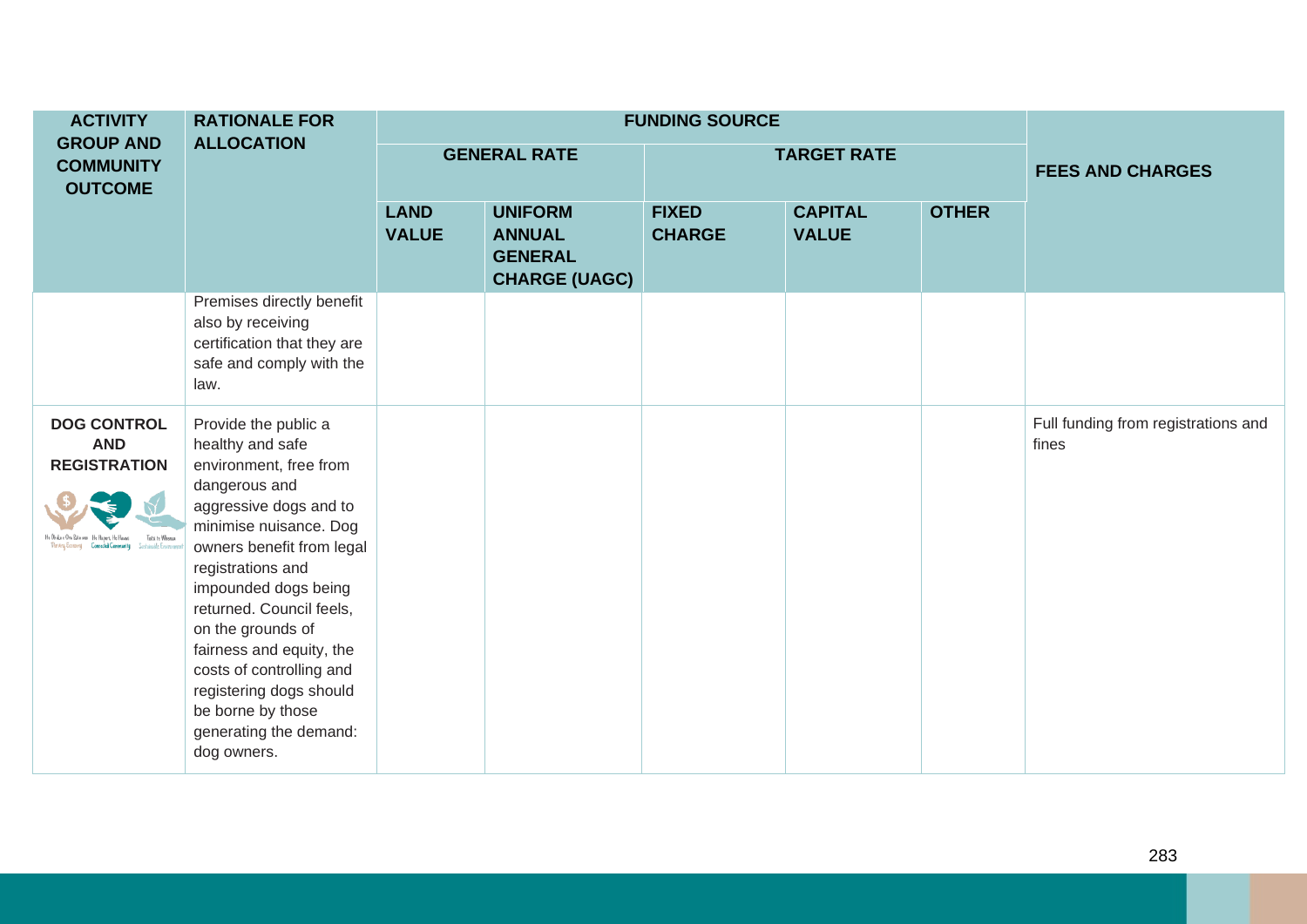| <b>ACTIVITY</b>                                                            | <b>RATIONALE FOR</b>                                                                                                                                                                                                                                                                                                                                                                                                |                             | <b>FUNDING SOURCE</b>                                                     |                               |                                |              |                                              |
|----------------------------------------------------------------------------|---------------------------------------------------------------------------------------------------------------------------------------------------------------------------------------------------------------------------------------------------------------------------------------------------------------------------------------------------------------------------------------------------------------------|-----------------------------|---------------------------------------------------------------------------|-------------------------------|--------------------------------|--------------|----------------------------------------------|
| <b>GROUP AND</b><br><b>COMMUNITY</b><br><b>OUTCOME</b>                     | <b>ALLOCATION</b>                                                                                                                                                                                                                                                                                                                                                                                                   | <b>GENERAL RATE</b>         |                                                                           |                               | <b>TARGET RATE</b>             |              | <b>FEES AND CHARGES</b>                      |
|                                                                            |                                                                                                                                                                                                                                                                                                                                                                                                                     | <b>LAND</b><br><b>VALUE</b> | <b>UNIFORM</b><br><b>ANNUAL</b><br><b>GENERAL</b><br><b>CHARGE (UAGC)</b> | <b>FIXED</b><br><b>CHARGE</b> | <b>CAPITAL</b><br><b>VALUE</b> | <b>OTHER</b> |                                              |
|                                                                            | Premises directly benefit<br>also by receiving<br>certification that they are<br>safe and comply with the<br>law.                                                                                                                                                                                                                                                                                                   |                             |                                                                           |                               |                                |              |                                              |
| <b>DOG CONTROL</b><br><b>AND</b><br><b>REGISTRATION</b><br>Toiti te Whenus | Provide the public a<br>healthy and safe<br>environment, free from<br>dangerous and<br>aggressive dogs and to<br>minimise nuisance. Dog<br>owners benefit from legal<br>registrations and<br>impounded dogs being<br>returned. Council feels,<br>on the grounds of<br>fairness and equity, the<br>costs of controlling and<br>registering dogs should<br>be borne by those<br>generating the demand:<br>dog owners. |                             |                                                                           |                               |                                |              | Full funding from registrations and<br>fines |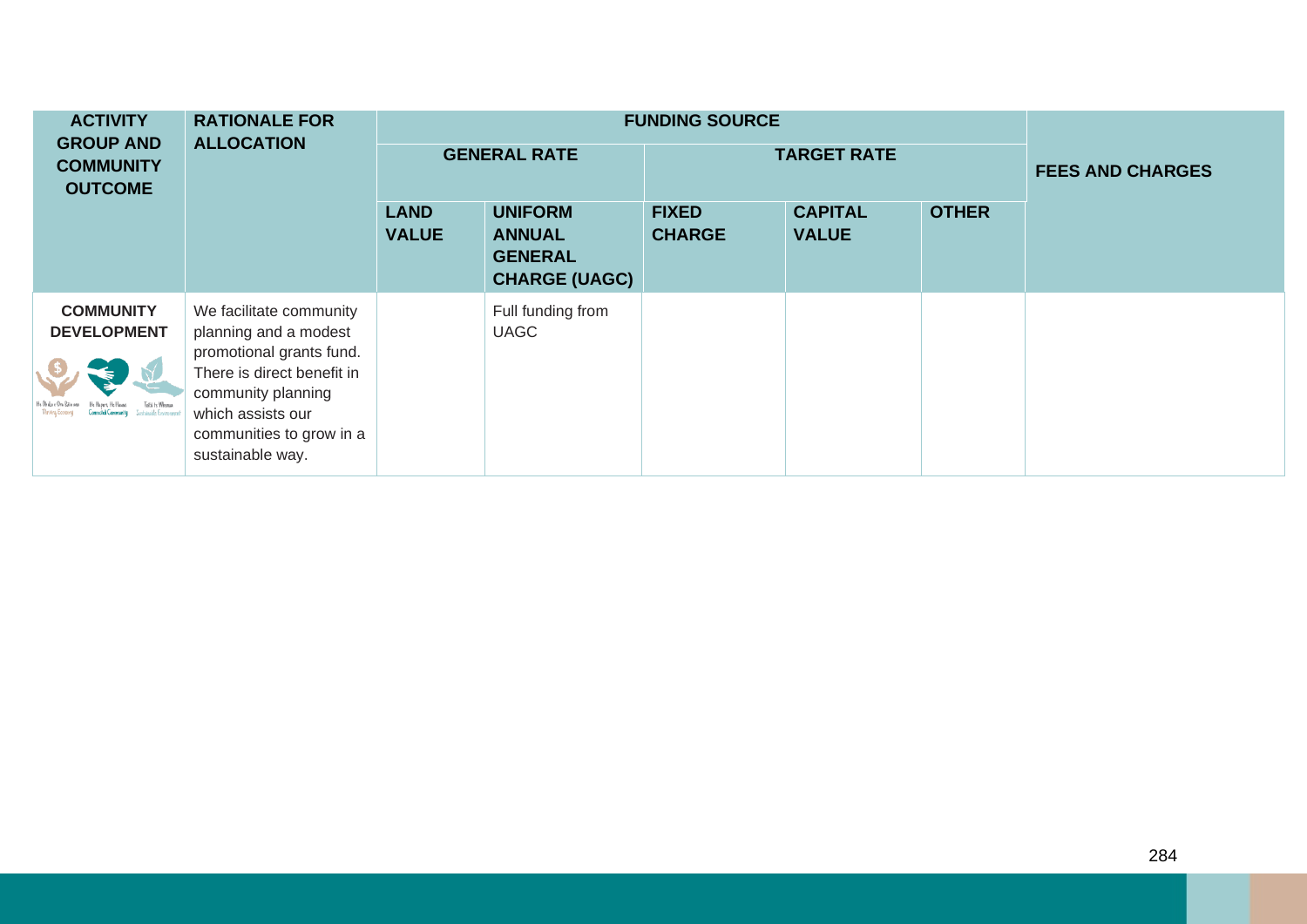| <b>ACTIVITY</b><br><b>GROUP AND</b>    | <b>RATIONALE FOR</b><br><b>ALLOCATION</b>                                                                                                                                                             |                             | <b>FUNDING SOURCE</b>                                                     |                               |                                |              |                         |
|----------------------------------------|-------------------------------------------------------------------------------------------------------------------------------------------------------------------------------------------------------|-----------------------------|---------------------------------------------------------------------------|-------------------------------|--------------------------------|--------------|-------------------------|
| <b>COMMUNITY</b><br><b>OUTCOME</b>     |                                                                                                                                                                                                       | <b>GENERAL RATE</b>         |                                                                           |                               | <b>TARGET RATE</b>             |              | <b>FEES AND CHARGES</b> |
|                                        |                                                                                                                                                                                                       | <b>LAND</b><br><b>VALUE</b> | <b>UNIFORM</b><br><b>ANNUAL</b><br><b>GENERAL</b><br><b>CHARGE (UAGC)</b> | <b>FIXED</b><br><b>CHARGE</b> | <b>CAPITAL</b><br><b>VALUE</b> | <b>OTHER</b> |                         |
| <b>COMMUNITY</b><br><b>DEVELOPMENT</b> | We facilitate community<br>planning and a modest<br>promotional grants fund.<br>There is direct benefit in<br>community planning<br>which assists our<br>communities to grow in a<br>sustainable way. |                             | Full funding from<br><b>UAGC</b>                                          |                               |                                |              |                         |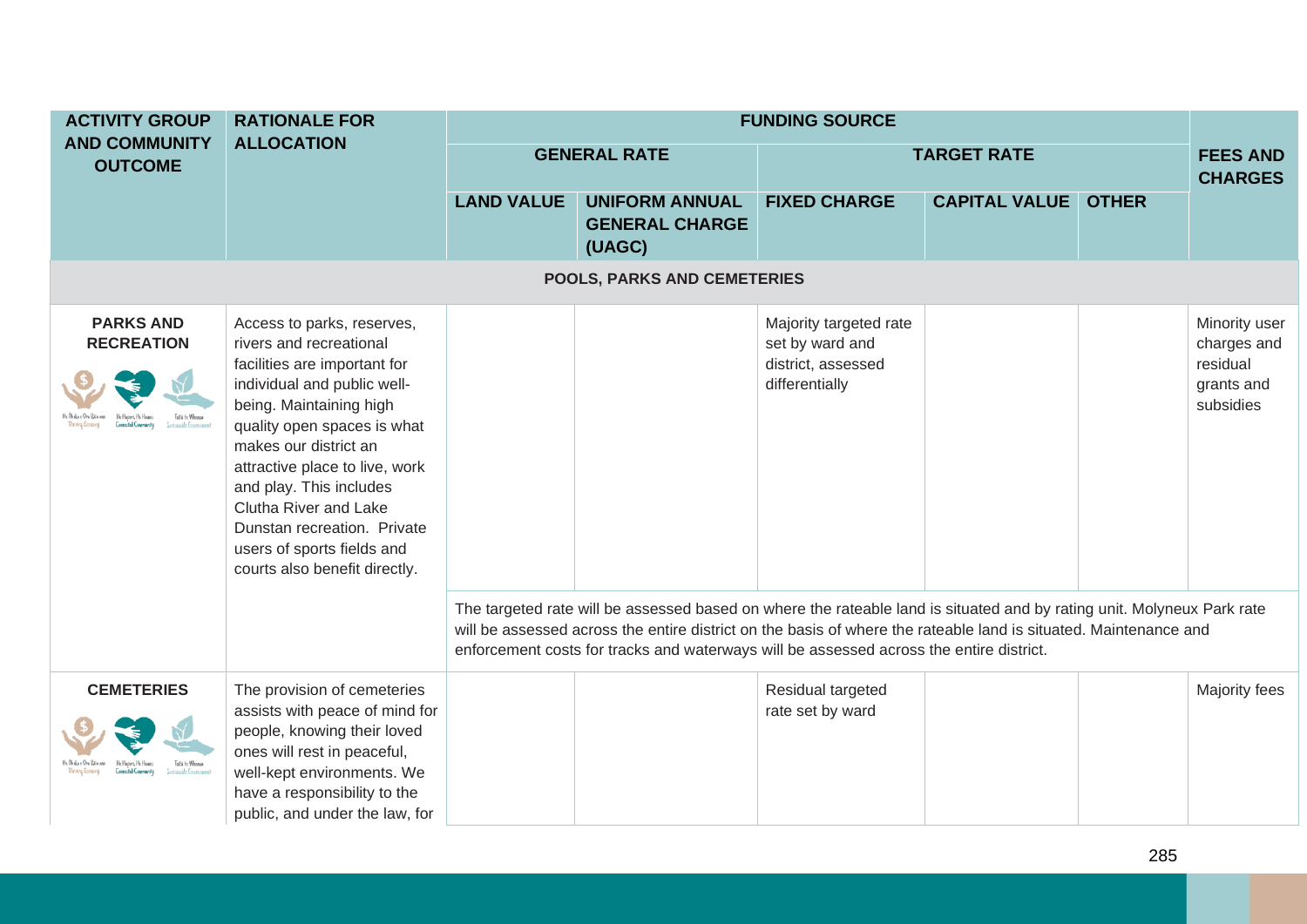|                                    | <b>ACTIVITY GROUP</b>                                     | <b>RATIONALE FOR</b>                                                                                                                                                                                                                                                                                                                                                                        |                   |                                                                                                                                                                                                                                                                                                                                       | <b>FUNDING SOURCE</b>                                                             |                                   |              |                                                                     |  |
|------------------------------------|-----------------------------------------------------------|---------------------------------------------------------------------------------------------------------------------------------------------------------------------------------------------------------------------------------------------------------------------------------------------------------------------------------------------------------------------------------------------|-------------------|---------------------------------------------------------------------------------------------------------------------------------------------------------------------------------------------------------------------------------------------------------------------------------------------------------------------------------------|-----------------------------------------------------------------------------------|-----------------------------------|--------------|---------------------------------------------------------------------|--|
|                                    | <b>AND COMMUNITY</b><br><b>OUTCOME</b>                    | <b>ALLOCATION</b>                                                                                                                                                                                                                                                                                                                                                                           |                   | <b>GENERAL RATE</b>                                                                                                                                                                                                                                                                                                                   | <b>TARGET RATE</b>                                                                | <b>FEES AND</b><br><b>CHARGES</b> |              |                                                                     |  |
|                                    |                                                           |                                                                                                                                                                                                                                                                                                                                                                                             | <b>LAND VALUE</b> | <b>UNIFORM ANNUAL</b><br><b>GENERAL CHARGE</b><br>(UAGC)                                                                                                                                                                                                                                                                              | <b>FIXED CHARGE</b>                                                               | <b>CAPITAL VALUE</b>              | <b>OTHER</b> |                                                                     |  |
| <b>POOLS, PARKS AND CEMETERIES</b> |                                                           |                                                                                                                                                                                                                                                                                                                                                                                             |                   |                                                                                                                                                                                                                                                                                                                                       |                                                                                   |                                   |              |                                                                     |  |
|                                    | <b>PARKS AND</b><br><b>RECREATION</b><br>Toitii te Whemia | Access to parks, reserves,<br>rivers and recreational<br>facilities are important for<br>individual and public well-<br>being. Maintaining high<br>quality open spaces is what<br>makes our district an<br>attractive place to live, work<br>and play. This includes<br>Clutha River and Lake<br>Dunstan recreation. Private<br>users of sports fields and<br>courts also benefit directly. |                   |                                                                                                                                                                                                                                                                                                                                       | Majority targeted rate<br>set by ward and<br>district, assessed<br>differentially |                                   |              | Minority user<br>charges and<br>residual<br>grants and<br>subsidies |  |
|                                    |                                                           |                                                                                                                                                                                                                                                                                                                                                                                             |                   | The targeted rate will be assessed based on where the rateable land is situated and by rating unit. Molyneux Park rate<br>will be assessed across the entire district on the basis of where the rateable land is situated. Maintenance and<br>enforcement costs for tracks and waterways will be assessed across the entire district. |                                                                                   |                                   |              |                                                                     |  |
|                                    | <b>CEMETERIES</b><br>Toitii te Whemia                     | The provision of cemeteries<br>assists with peace of mind for<br>people, knowing their loved<br>ones will rest in peaceful,<br>well-kept environments. We<br>have a responsibility to the<br>public, and under the law, for                                                                                                                                                                 |                   |                                                                                                                                                                                                                                                                                                                                       | Residual targeted<br>rate set by ward                                             |                                   |              | Majority fees                                                       |  |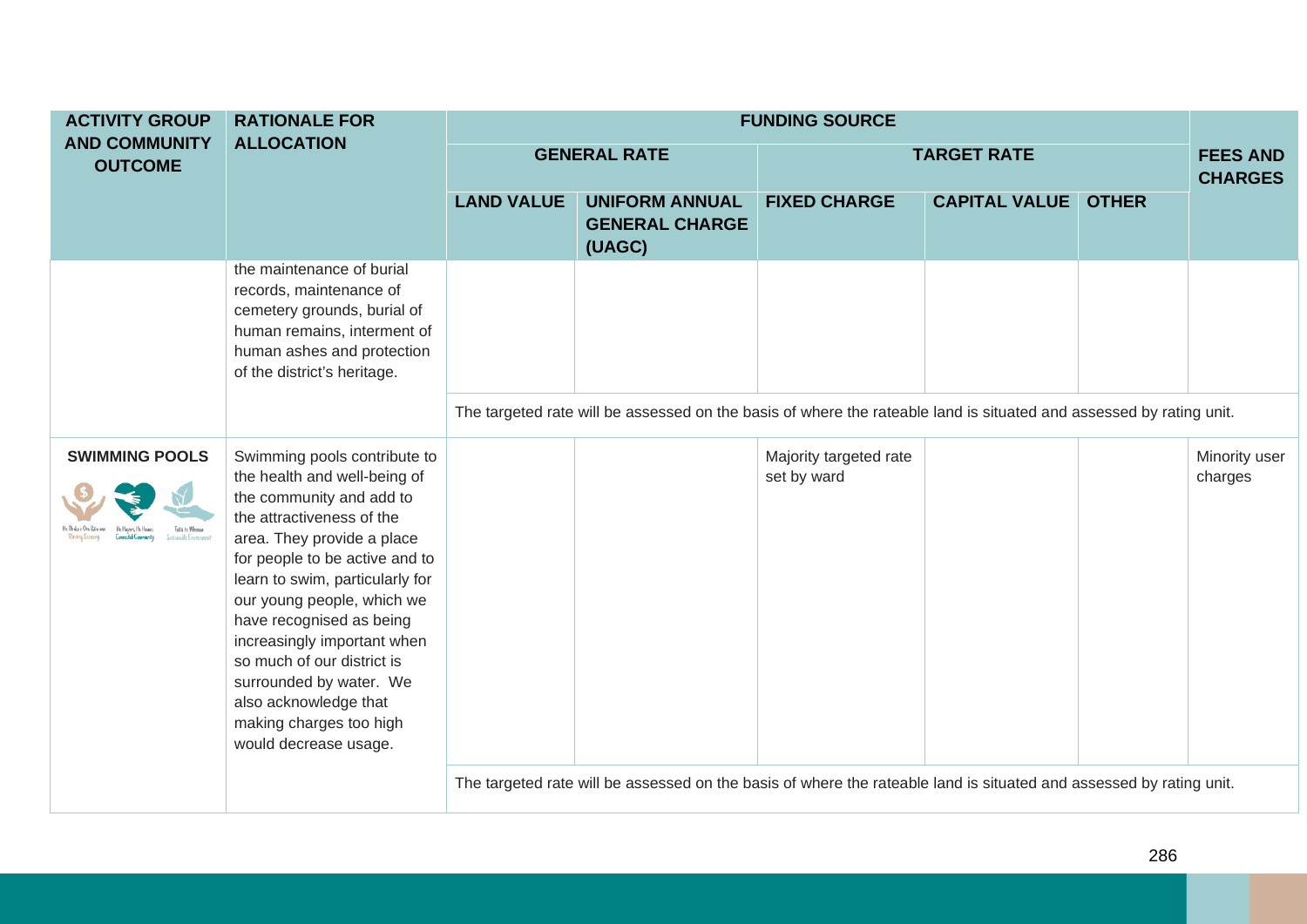| <b>ACTIVITY GROUP</b>                  | <b>RATIONALE FOR</b>                                                                                                                                                                                                                                                                                                                                                                                                                                    | <b>FUNDING SOURCE</b> |                                                                                                                     |                                       |                      |              |                                   |  |
|----------------------------------------|---------------------------------------------------------------------------------------------------------------------------------------------------------------------------------------------------------------------------------------------------------------------------------------------------------------------------------------------------------------------------------------------------------------------------------------------------------|-----------------------|---------------------------------------------------------------------------------------------------------------------|---------------------------------------|----------------------|--------------|-----------------------------------|--|
| <b>AND COMMUNITY</b><br><b>OUTCOME</b> | <b>ALLOCATION</b>                                                                                                                                                                                                                                                                                                                                                                                                                                       |                       | <b>GENERAL RATE</b>                                                                                                 |                                       | <b>TARGET RATE</b>   |              | <b>FEES AND</b><br><b>CHARGES</b> |  |
|                                        |                                                                                                                                                                                                                                                                                                                                                                                                                                                         | <b>LAND VALUE</b>     | <b>UNIFORM ANNUAL</b><br><b>GENERAL CHARGE</b><br>(UAGC)                                                            | <b>FIXED CHARGE</b>                   | <b>CAPITAL VALUE</b> | <b>OTHER</b> |                                   |  |
|                                        | the maintenance of burial<br>records, maintenance of<br>cemetery grounds, burial of<br>human remains, interment of<br>human ashes and protection<br>of the district's heritage.                                                                                                                                                                                                                                                                         |                       |                                                                                                                     |                                       |                      |              |                                   |  |
|                                        |                                                                                                                                                                                                                                                                                                                                                                                                                                                         |                       | The targeted rate will be assessed on the basis of where the rateable land is situated and assessed by rating unit. |                                       |                      |              |                                   |  |
| <b>SWIMMING POOLS</b>                  | Swimming pools contribute to<br>the health and well-being of<br>the community and add to<br>the attractiveness of the<br>area. They provide a place<br>for people to be active and to<br>learn to swim, particularly for<br>our young people, which we<br>have recognised as being<br>increasingly important when<br>so much of our district is<br>surrounded by water. We<br>also acknowledge that<br>making charges too high<br>would decrease usage. |                       |                                                                                                                     | Majority targeted rate<br>set by ward |                      |              | Minority user<br>charges          |  |
|                                        |                                                                                                                                                                                                                                                                                                                                                                                                                                                         |                       | The targeted rate will be assessed on the basis of where the rateable land is situated and assessed by rating unit. |                                       |                      |              |                                   |  |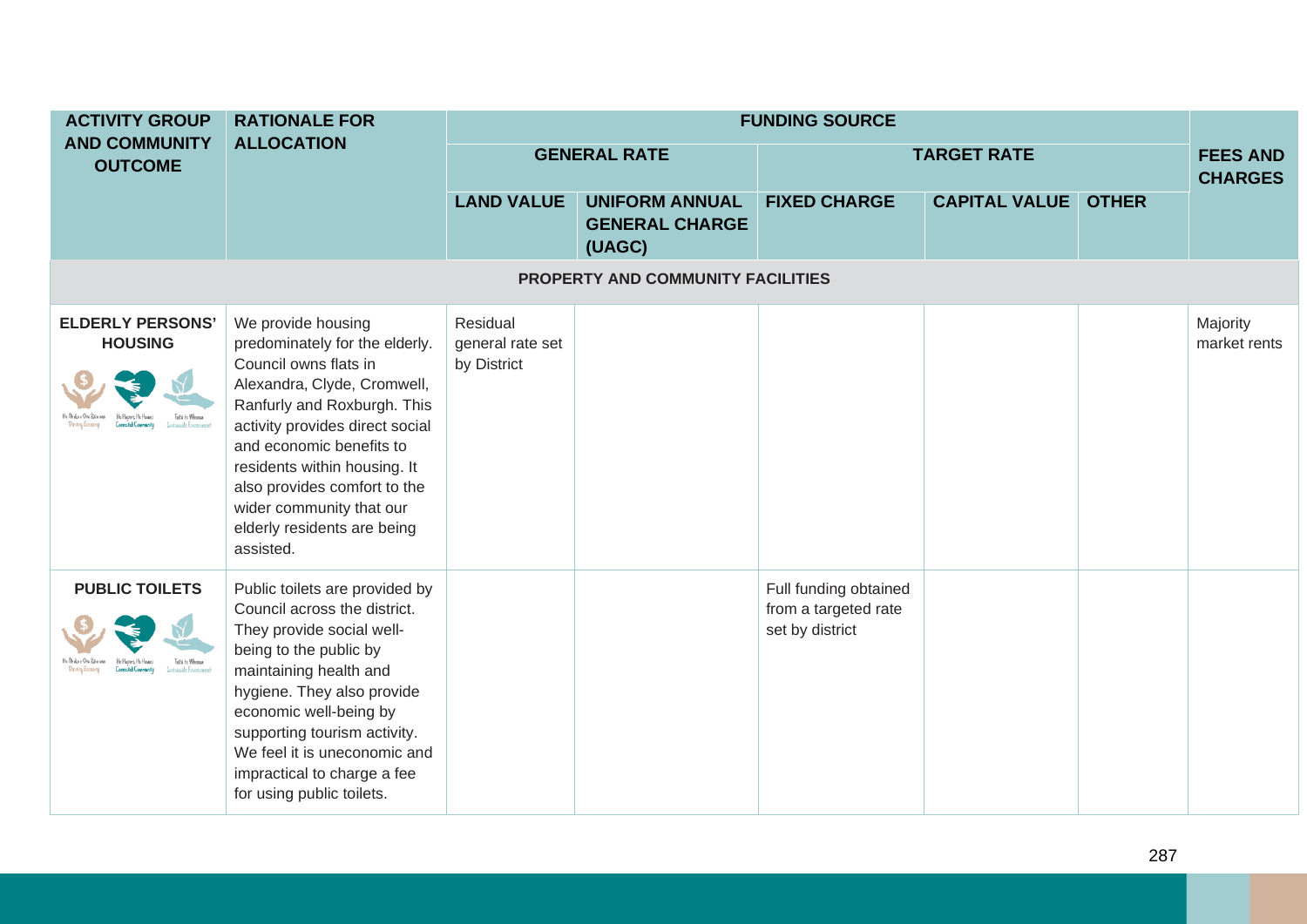| <b>ACTIVITY GROUP</b>                     | <b>RATIONALE FOR</b>                                                                                                                                                                                                                                                                                                                               | <b>FUNDING SOURCE</b>                       |                                                          |                                                                  |                      |              |                                   |  |  |  |  |
|-------------------------------------------|----------------------------------------------------------------------------------------------------------------------------------------------------------------------------------------------------------------------------------------------------------------------------------------------------------------------------------------------------|---------------------------------------------|----------------------------------------------------------|------------------------------------------------------------------|----------------------|--------------|-----------------------------------|--|--|--|--|
| <b>AND COMMUNITY</b><br><b>OUTCOME</b>    | <b>ALLOCATION</b>                                                                                                                                                                                                                                                                                                                                  |                                             | <b>GENERAL RATE</b>                                      |                                                                  | <b>TARGET RATE</b>   |              | <b>FEES AND</b><br><b>CHARGES</b> |  |  |  |  |
|                                           |                                                                                                                                                                                                                                                                                                                                                    | <b>LAND VALUE</b>                           | <b>UNIFORM ANNUAL</b><br><b>GENERAL CHARGE</b><br>(UAGC) | <b>FIXED CHARGE</b>                                              | <b>CAPITAL VALUE</b> | <b>OTHER</b> |                                   |  |  |  |  |
| PROPERTY AND COMMUNITY FACILITIES         |                                                                                                                                                                                                                                                                                                                                                    |                                             |                                                          |                                                                  |                      |              |                                   |  |  |  |  |
| <b>ELDERLY PERSONS'</b><br><b>HOUSING</b> | We provide housing<br>predominately for the elderly.<br>Council owns flats in<br>Alexandra, Clyde, Cromwell,<br>Ranfurly and Roxburgh. This<br>activity provides direct social<br>and economic benefits to<br>residents within housing. It<br>also provides comfort to the<br>wider community that our<br>elderly residents are being<br>assisted. | Residual<br>general rate set<br>by District |                                                          |                                                                  |                      |              | Majority<br>market rents          |  |  |  |  |
| <b>PUBLIC TOILETS</b><br>Toitii te Whemia | Public toilets are provided by<br>Council across the district.<br>They provide social well-<br>being to the public by<br>maintaining health and<br>hygiene. They also provide<br>economic well-being by<br>supporting tourism activity.<br>We feel it is uneconomic and<br>impractical to charge a fee<br>for using public toilets.                |                                             |                                                          | Full funding obtained<br>from a targeted rate<br>set by district |                      |              |                                   |  |  |  |  |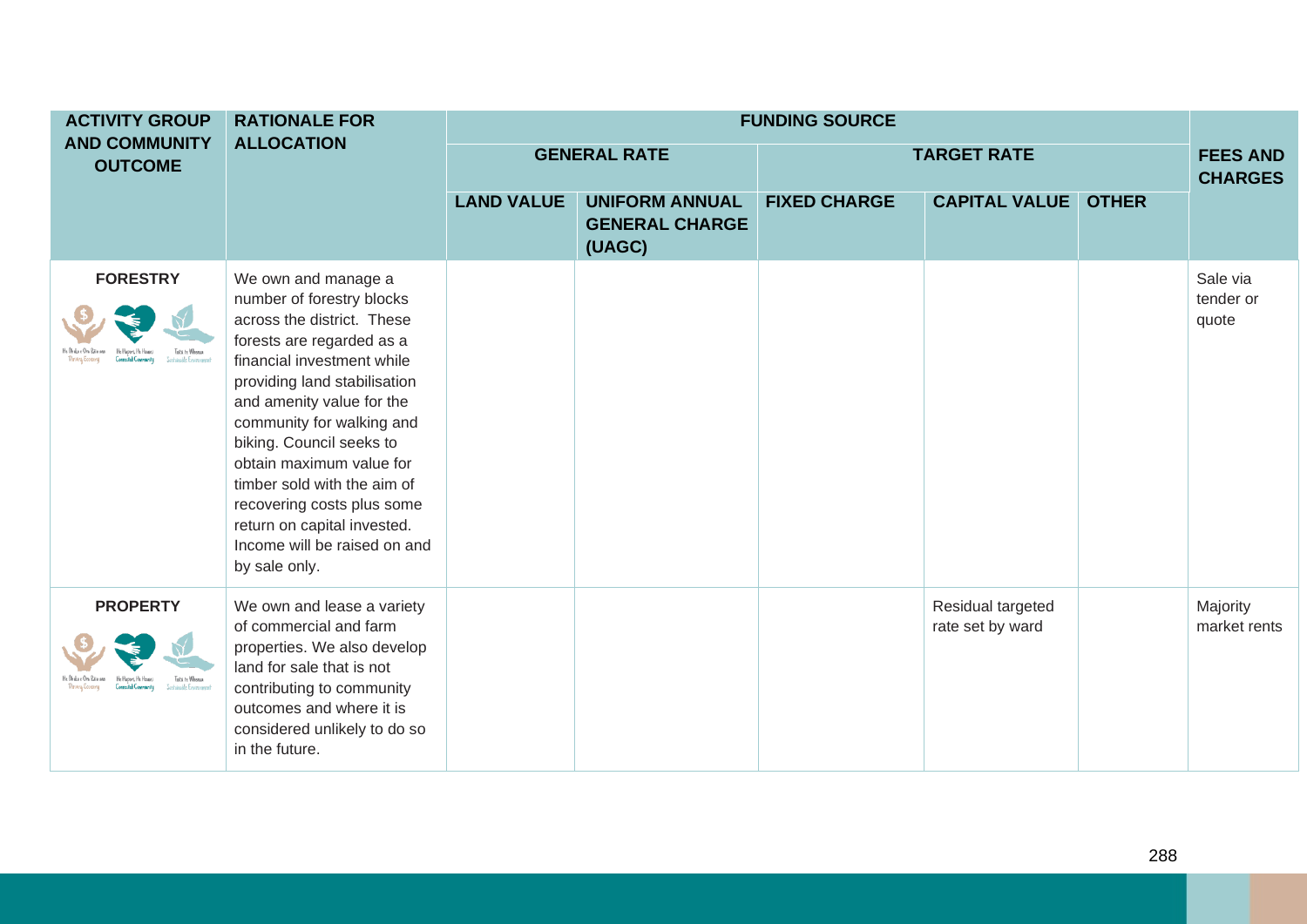| <b>ACTIVITY GROUP</b>                  | <b>RATIONALE FOR</b>                                                                                                                                                                                                                                                                                                                                                                                                                     | <b>FUNDING SOURCE</b> |                                                          |                     |                                       |              |                                   |
|----------------------------------------|------------------------------------------------------------------------------------------------------------------------------------------------------------------------------------------------------------------------------------------------------------------------------------------------------------------------------------------------------------------------------------------------------------------------------------------|-----------------------|----------------------------------------------------------|---------------------|---------------------------------------|--------------|-----------------------------------|
| <b>AND COMMUNITY</b><br><b>OUTCOME</b> | <b>ALLOCATION</b>                                                                                                                                                                                                                                                                                                                                                                                                                        |                       | <b>GENERAL RATE</b>                                      |                     | <b>TARGET RATE</b>                    |              | <b>FEES AND</b><br><b>CHARGES</b> |
|                                        |                                                                                                                                                                                                                                                                                                                                                                                                                                          | <b>LAND VALUE</b>     | <b>UNIFORM ANNUAL</b><br><b>GENERAL CHARGE</b><br>(UAGC) | <b>FIXED CHARGE</b> | <b>CAPITAL VALUE</b>                  | <b>OTHER</b> |                                   |
| <b>FORESTRY</b>                        | We own and manage a<br>number of forestry blocks<br>across the district. These<br>forests are regarded as a<br>financial investment while<br>providing land stabilisation<br>and amenity value for the<br>community for walking and<br>biking. Council seeks to<br>obtain maximum value for<br>timber sold with the aim of<br>recovering costs plus some<br>return on capital invested.<br>Income will be raised on and<br>by sale only. |                       |                                                          |                     |                                       |              | Sale via<br>tender or<br>quote    |
| <b>PROPERTY</b><br>Toita te Whenu      | We own and lease a variety<br>of commercial and farm<br>properties. We also develop<br>land for sale that is not<br>contributing to community<br>outcomes and where it is<br>considered unlikely to do so<br>in the future.                                                                                                                                                                                                              |                       |                                                          |                     | Residual targeted<br>rate set by ward |              | Majority<br>market rents          |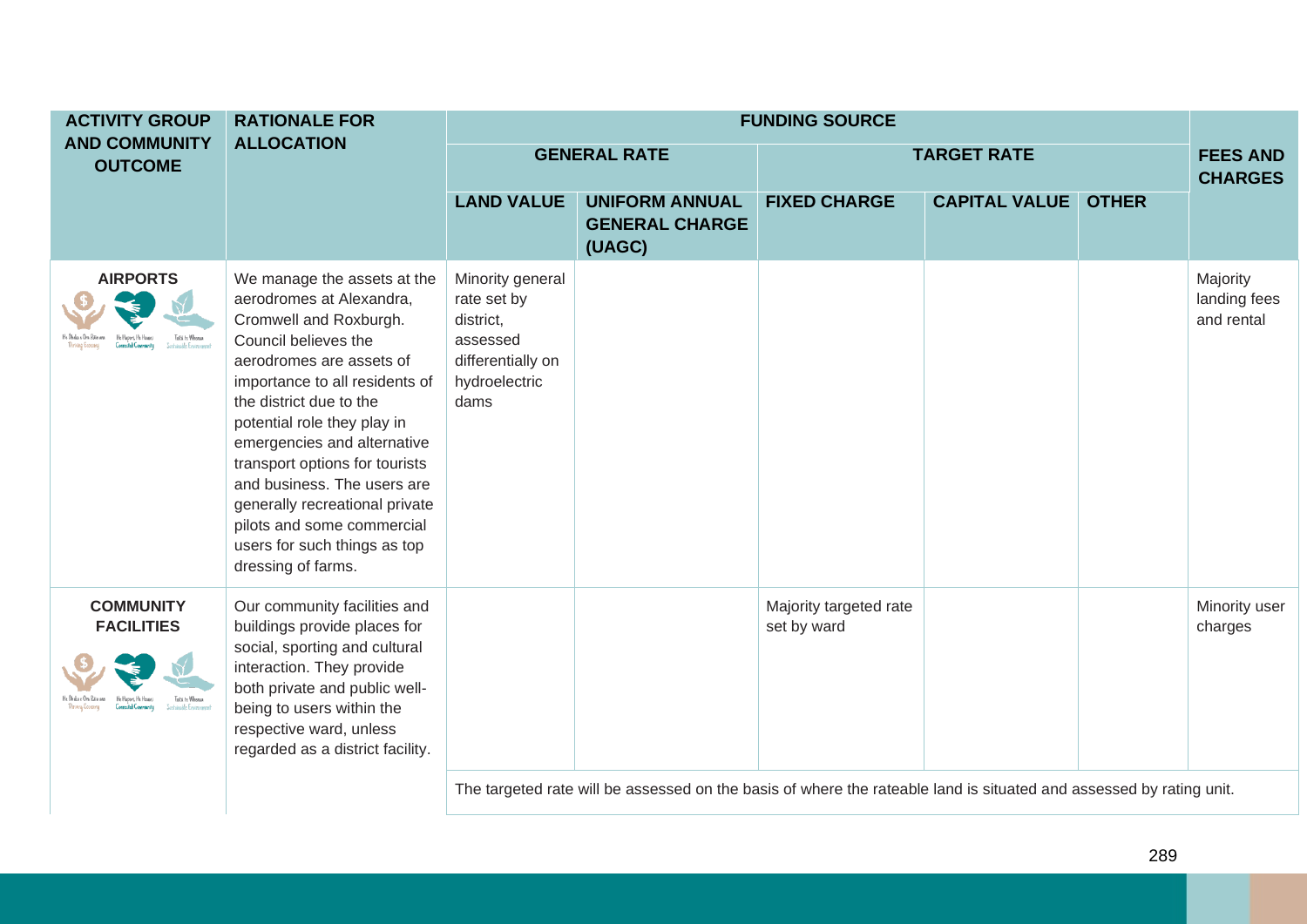| <b>ACTIVITY GROUP</b>                  | <b>RATIONALE FOR</b>                                                                                                                                                                                                                                                                                                                                                                                                                                    |                                                                                                        |                                                          | <b>FUNDING SOURCE</b>                 |                      |              |                                        |
|----------------------------------------|---------------------------------------------------------------------------------------------------------------------------------------------------------------------------------------------------------------------------------------------------------------------------------------------------------------------------------------------------------------------------------------------------------------------------------------------------------|--------------------------------------------------------------------------------------------------------|----------------------------------------------------------|---------------------------------------|----------------------|--------------|----------------------------------------|
| <b>AND COMMUNITY</b><br><b>OUTCOME</b> | <b>ALLOCATION</b>                                                                                                                                                                                                                                                                                                                                                                                                                                       |                                                                                                        | <b>GENERAL RATE</b>                                      |                                       | <b>TARGET RATE</b>   |              | <b>FEES AND</b><br><b>CHARGES</b>      |
|                                        |                                                                                                                                                                                                                                                                                                                                                                                                                                                         | <b>LAND VALUE</b>                                                                                      | <b>UNIFORM ANNUAL</b><br><b>GENERAL CHARGE</b><br>(UAGC) | <b>FIXED CHARGE</b>                   | <b>CAPITAL VALUE</b> | <b>OTHER</b> |                                        |
| <b>AIRPORTS</b><br>Toiti te Whenua     | We manage the assets at the<br>aerodromes at Alexandra,<br>Cromwell and Roxburgh.<br>Council believes the<br>aerodromes are assets of<br>importance to all residents of<br>the district due to the<br>potential role they play in<br>emergencies and alternative<br>transport options for tourists<br>and business. The users are<br>generally recreational private<br>pilots and some commercial<br>users for such things as top<br>dressing of farms. | Minority general<br>rate set by<br>district,<br>assessed<br>differentially on<br>hydroelectric<br>dams |                                                          |                                       |                      |              | Majority<br>landing fees<br>and rental |
| <b>COMMUNITY</b><br><b>FACILITIES</b>  | Our community facilities and<br>buildings provide places for<br>social, sporting and cultural<br>interaction. They provide<br>both private and public well-<br>being to users within the<br>respective ward, unless<br>regarded as a district facility.                                                                                                                                                                                                 |                                                                                                        |                                                          | Majority targeted rate<br>set by ward |                      |              | Minority user<br>charges               |

The targeted rate will be assessed on the basis of where the rateable land is situated and assessed by rating unit.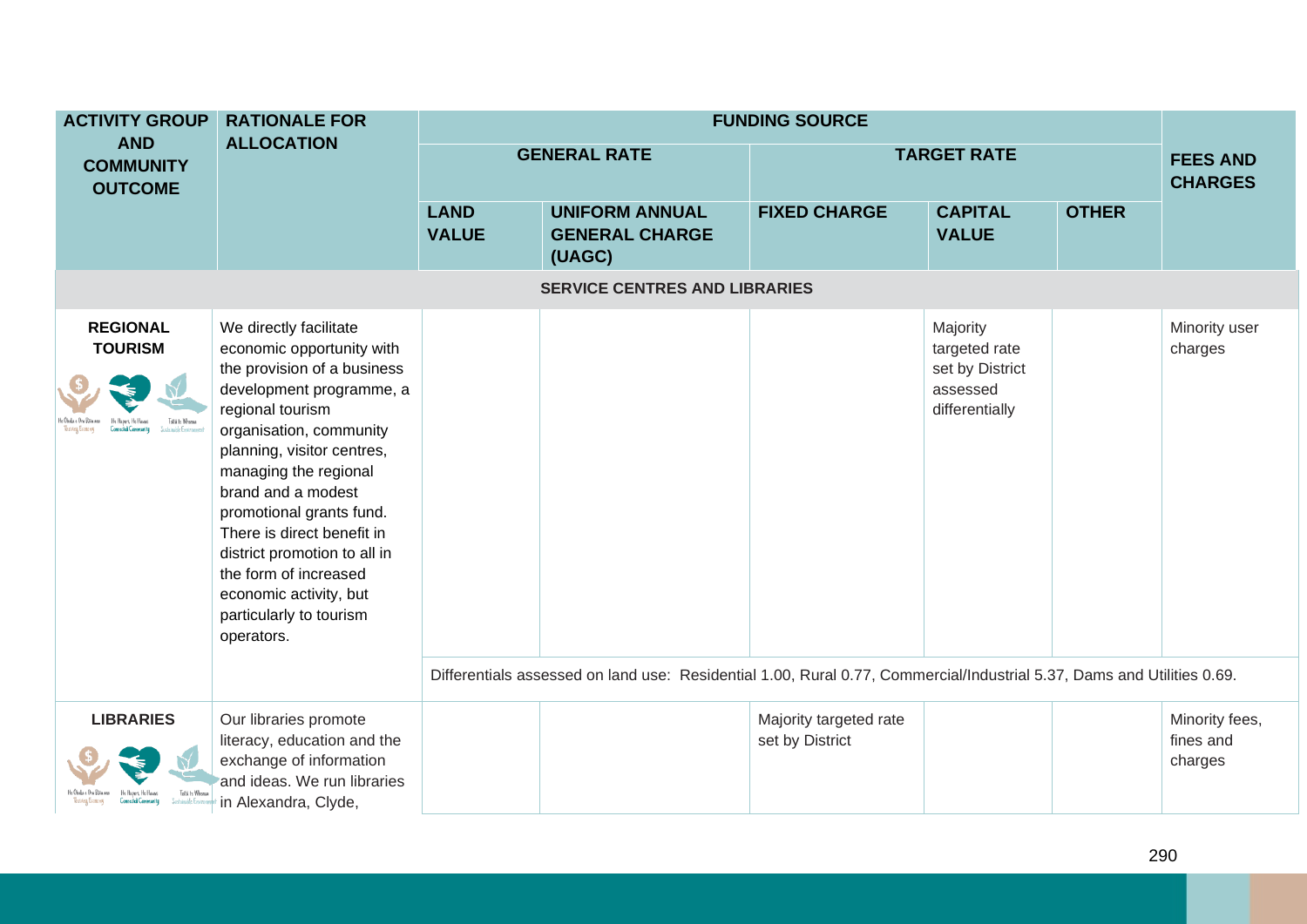| <b>ACTIVITY GROUP</b>                                 | <b>RATIONALE FOR</b>                                                                                                                                                                                                                                                                                                                                                                                                             |                             |                                                                                                                        | <b>FUNDING SOURCE</b>                     |                                                                            |              |                                        |  |
|-------------------------------------------------------|----------------------------------------------------------------------------------------------------------------------------------------------------------------------------------------------------------------------------------------------------------------------------------------------------------------------------------------------------------------------------------------------------------------------------------|-----------------------------|------------------------------------------------------------------------------------------------------------------------|-------------------------------------------|----------------------------------------------------------------------------|--------------|----------------------------------------|--|
| <b>AND</b><br><b>COMMUNITY</b><br><b>OUTCOME</b>      | <b>ALLOCATION</b>                                                                                                                                                                                                                                                                                                                                                                                                                |                             | <b>GENERAL RATE</b>                                                                                                    |                                           | <b>TARGET RATE</b>                                                         |              | <b>FEES AND</b><br><b>CHARGES</b>      |  |
|                                                       |                                                                                                                                                                                                                                                                                                                                                                                                                                  | <b>LAND</b><br><b>VALUE</b> | <b>UNIFORM ANNUAL</b><br><b>GENERAL CHARGE</b><br>(UAGC)                                                               | <b>FIXED CHARGE</b>                       | <b>CAPITAL</b><br><b>VALUE</b>                                             | <b>OTHER</b> |                                        |  |
| <b>SERVICE CENTRES AND LIBRARIES</b>                  |                                                                                                                                                                                                                                                                                                                                                                                                                                  |                             |                                                                                                                        |                                           |                                                                            |              |                                        |  |
| <b>REGIONAL</b><br><b>TOURISM</b><br>Toitii te Whemia | We directly facilitate<br>economic opportunity with<br>the provision of a business<br>development programme, a<br>regional tourism<br>organisation, community<br>planning, visitor centres,<br>managing the regional<br>brand and a modest<br>promotional grants fund.<br>There is direct benefit in<br>district promotion to all in<br>the form of increased<br>economic activity, but<br>particularly to tourism<br>operators. |                             |                                                                                                                        |                                           | Majority<br>targeted rate<br>set by District<br>assessed<br>differentially |              | Minority user<br>charges               |  |
|                                                       |                                                                                                                                                                                                                                                                                                                                                                                                                                  |                             | Differentials assessed on land use: Residential 1.00, Rural 0.77, Commercial/Industrial 5.37, Dams and Utilities 0.69. |                                           |                                                                            |              |                                        |  |
| <b>LIBRARIES</b>                                      | Our libraries promote<br>literacy, education and the<br>exchange of information<br>and ideas. We run libraries<br>in Alexandra, Clyde,                                                                                                                                                                                                                                                                                           |                             |                                                                                                                        | Majority targeted rate<br>set by District |                                                                            |              | Minority fees,<br>fines and<br>charges |  |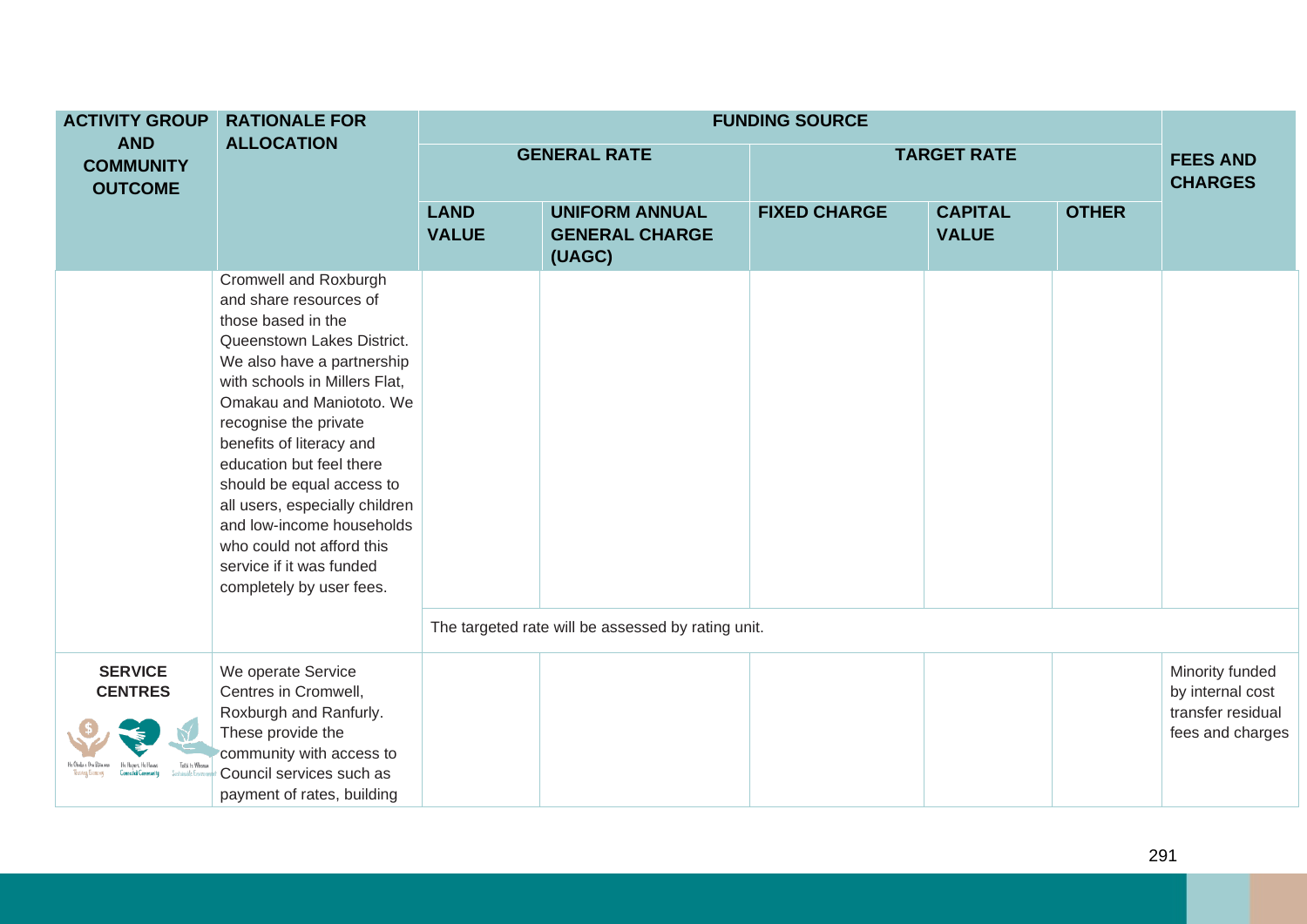| <b>ACTIVITY GROUP</b>                             | <b>RATIONALE FOR</b>                                                                                                                                                                                                                                                                                                                                                                                                                                             | <b>FUNDING SOURCE</b>       |                                                          |                     |                                |              |                                                                              |  |  |
|---------------------------------------------------|------------------------------------------------------------------------------------------------------------------------------------------------------------------------------------------------------------------------------------------------------------------------------------------------------------------------------------------------------------------------------------------------------------------------------------------------------------------|-----------------------------|----------------------------------------------------------|---------------------|--------------------------------|--------------|------------------------------------------------------------------------------|--|--|
| <b>AND</b><br><b>COMMUNITY</b><br><b>OUTCOME</b>  | <b>ALLOCATION</b>                                                                                                                                                                                                                                                                                                                                                                                                                                                |                             | <b>GENERAL RATE</b>                                      |                     | <b>TARGET RATE</b>             |              | <b>FEES AND</b><br><b>CHARGES</b>                                            |  |  |
|                                                   |                                                                                                                                                                                                                                                                                                                                                                                                                                                                  | <b>LAND</b><br><b>VALUE</b> | <b>UNIFORM ANNUAL</b><br><b>GENERAL CHARGE</b><br>(UAGC) | <b>FIXED CHARGE</b> | <b>CAPITAL</b><br><b>VALUE</b> | <b>OTHER</b> |                                                                              |  |  |
|                                                   | Cromwell and Roxburgh<br>and share resources of<br>those based in the<br>Queenstown Lakes District.<br>We also have a partnership<br>with schools in Millers Flat,<br>Omakau and Maniototo. We<br>recognise the private<br>benefits of literacy and<br>education but feel there<br>should be equal access to<br>all users, especially children<br>and low-income households<br>who could not afford this<br>service if it was funded<br>completely by user fees. |                             |                                                          |                     |                                |              |                                                                              |  |  |
|                                                   |                                                                                                                                                                                                                                                                                                                                                                                                                                                                  |                             | The targeted rate will be assessed by rating unit.       |                     |                                |              |                                                                              |  |  |
| <b>SERVICE</b><br><b>CENTRES</b><br>Toiti te When | We operate Service<br>Centres in Cromwell,<br>Roxburgh and Ranfurly.<br>These provide the<br>community with access to<br>Council services such as<br>payment of rates, building                                                                                                                                                                                                                                                                                  |                             |                                                          |                     |                                |              | Minority funded<br>by internal cost<br>transfer residual<br>fees and charges |  |  |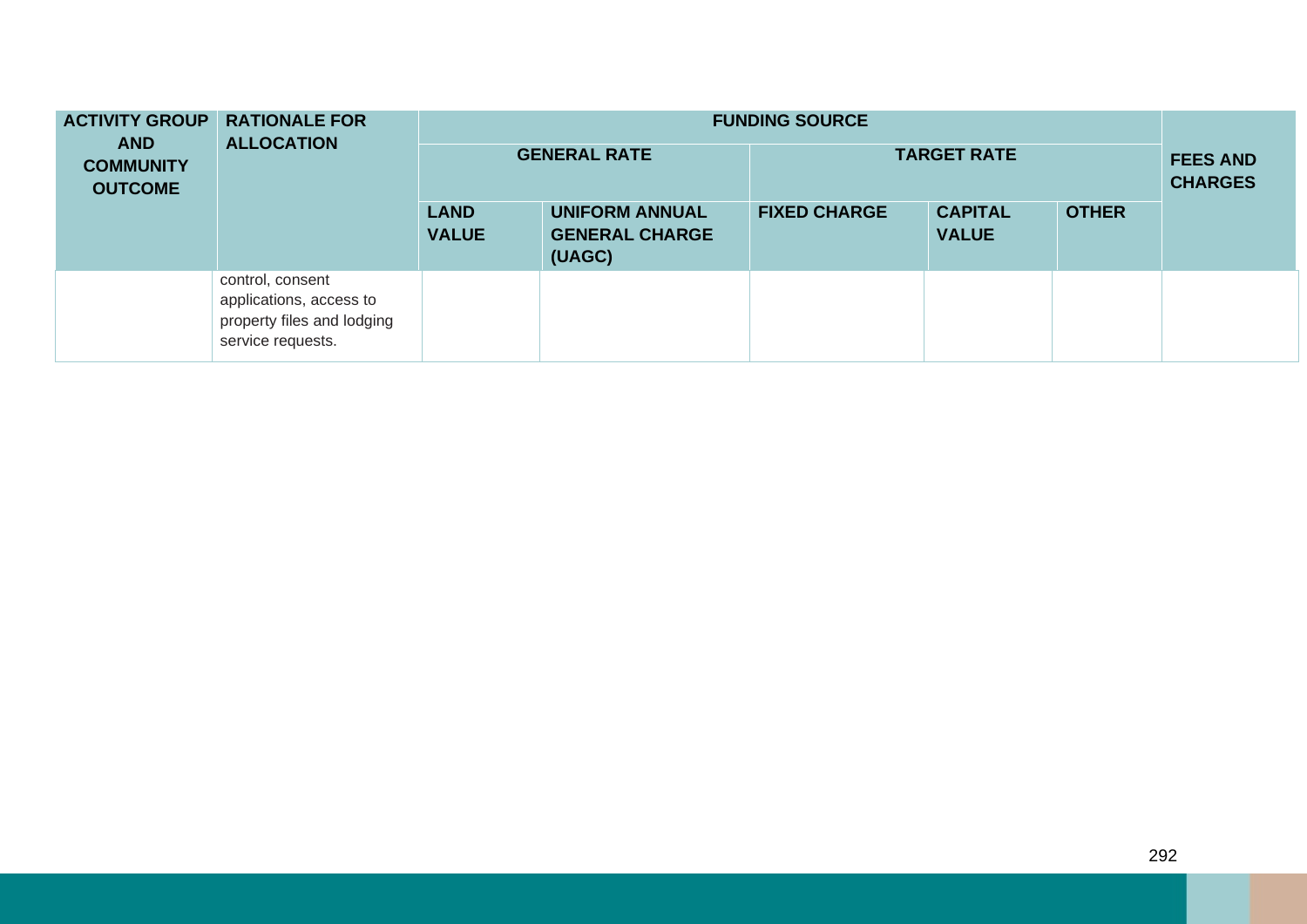| <b>ACTIVITY GROUP</b><br><b>AND</b><br><b>COMMUNITY</b><br><b>OUTCOME</b> | <b>RATIONALE FOR</b><br><b>ALLOCATION</b>                                                      | <b>FUNDING SOURCE</b><br><b>GENERAL RATE</b><br><b>TARGET RATE</b> |                                                          |                     |                                |              |  |  |
|---------------------------------------------------------------------------|------------------------------------------------------------------------------------------------|--------------------------------------------------------------------|----------------------------------------------------------|---------------------|--------------------------------|--------------|--|--|
|                                                                           |                                                                                                | <b>LAND</b><br><b>VALUE</b>                                        | <b>UNIFORM ANNUAL</b><br><b>GENERAL CHARGE</b><br>(UAGC) | <b>FIXED CHARGE</b> | <b>CAPITAL</b><br><b>VALUE</b> | <b>OTHER</b> |  |  |
|                                                                           | control, consent<br>applications, access to<br>property files and lodging<br>service requests. |                                                                    |                                                          |                     |                                |              |  |  |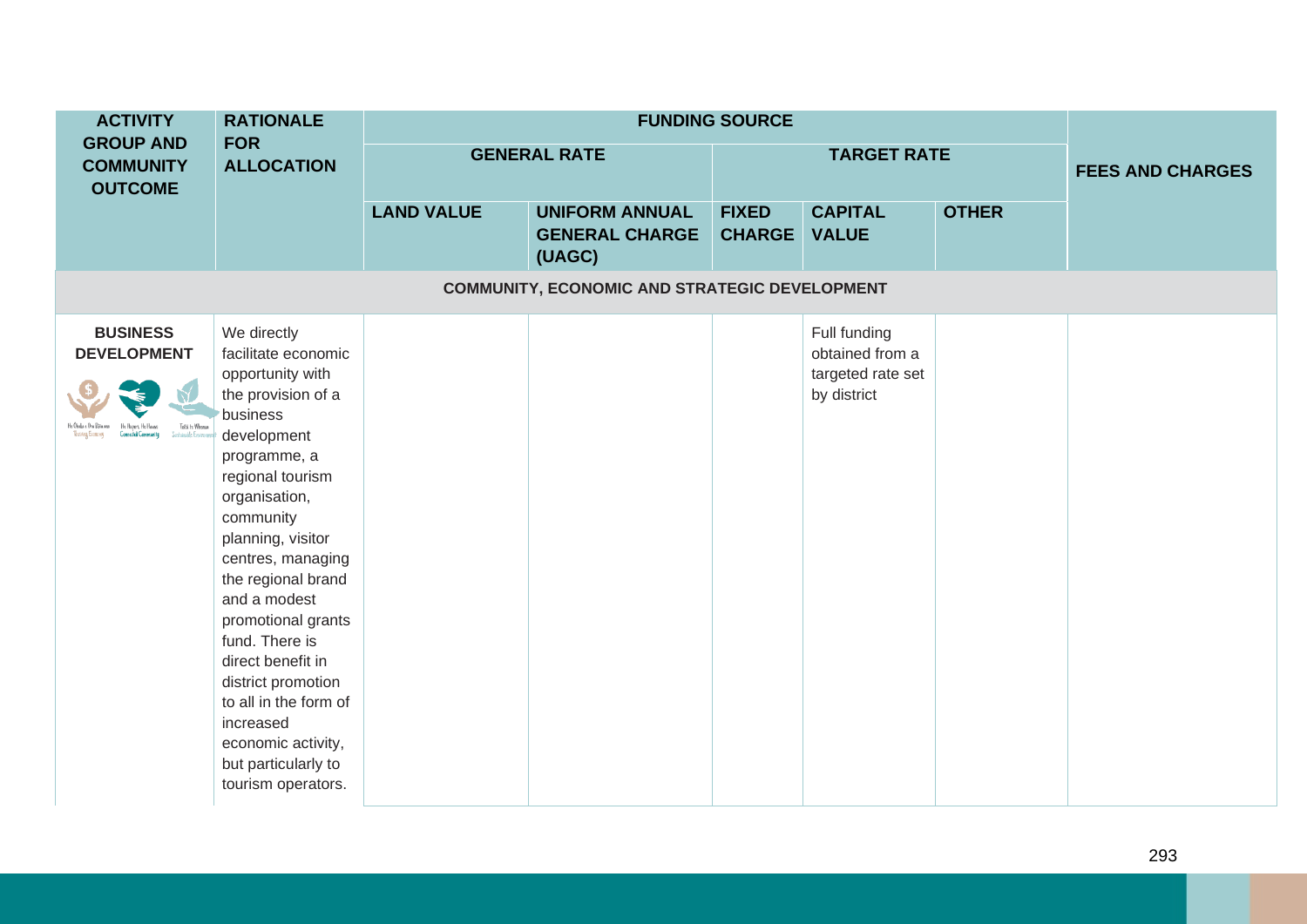| <b>ACTIVITY</b>                                          | <b>RATIONALE</b>                                                                                                                                                                                                                                                                                                                                                                                                                                      |                     |                                                          |                               |                                                                     |              |                         |
|----------------------------------------------------------|-------------------------------------------------------------------------------------------------------------------------------------------------------------------------------------------------------------------------------------------------------------------------------------------------------------------------------------------------------------------------------------------------------------------------------------------------------|---------------------|----------------------------------------------------------|-------------------------------|---------------------------------------------------------------------|--------------|-------------------------|
| <b>GROUP AND</b><br><b>COMMUNITY</b><br><b>OUTCOME</b>   | <b>FOR</b><br><b>ALLOCATION</b>                                                                                                                                                                                                                                                                                                                                                                                                                       | <b>GENERAL RATE</b> |                                                          | <b>TARGET RATE</b>            |                                                                     |              | <b>FEES AND CHARGES</b> |
|                                                          |                                                                                                                                                                                                                                                                                                                                                                                                                                                       | <b>LAND VALUE</b>   | <b>UNIFORM ANNUAL</b><br><b>GENERAL CHARGE</b><br>(UAGC) | <b>FIXED</b><br><b>CHARGE</b> | <b>CAPITAL</b><br><b>VALUE</b>                                      | <b>OTHER</b> |                         |
|                                                          |                                                                                                                                                                                                                                                                                                                                                                                                                                                       |                     | <b>COMMUNITY, ECONOMIC AND STRATEGIC DEVELOPMENT</b>     |                               |                                                                     |              |                         |
| <b>BUSINESS</b><br><b>DEVELOPMENT</b><br>Toita te Whenua | We directly<br>facilitate economic<br>opportunity with<br>the provision of a<br>business<br>development<br>programme, a<br>regional tourism<br>organisation,<br>community<br>planning, visitor<br>centres, managing<br>the regional brand<br>and a modest<br>promotional grants<br>fund. There is<br>direct benefit in<br>district promotion<br>to all in the form of<br>increased<br>economic activity,<br>but particularly to<br>tourism operators. |                     |                                                          |                               | Full funding<br>obtained from a<br>targeted rate set<br>by district |              |                         |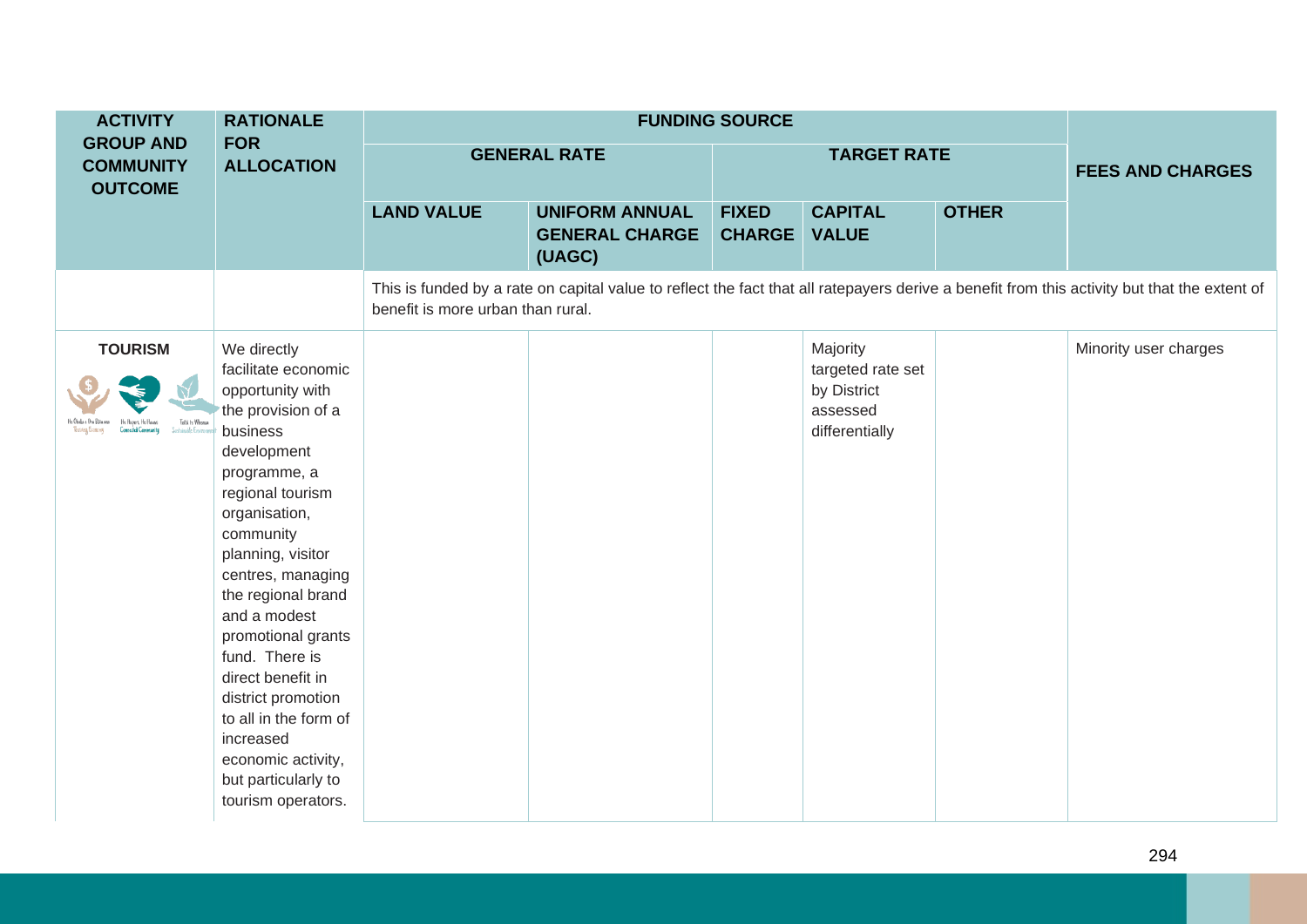| <b>ACTIVITY</b>                                        | <b>RATIONALE</b>                                                                                                                                                                                                                                                                                                                                                                                                                                      |                                   |                                                          |                               |                                                                            |              |                                                                                                                                              |  |
|--------------------------------------------------------|-------------------------------------------------------------------------------------------------------------------------------------------------------------------------------------------------------------------------------------------------------------------------------------------------------------------------------------------------------------------------------------------------------------------------------------------------------|-----------------------------------|----------------------------------------------------------|-------------------------------|----------------------------------------------------------------------------|--------------|----------------------------------------------------------------------------------------------------------------------------------------------|--|
| <b>GROUP AND</b><br><b>COMMUNITY</b><br><b>OUTCOME</b> | <b>FOR</b><br><b>ALLOCATION</b>                                                                                                                                                                                                                                                                                                                                                                                                                       | <b>GENERAL RATE</b>               |                                                          | <b>TARGET RATE</b>            |                                                                            |              | <b>FEES AND CHARGES</b>                                                                                                                      |  |
|                                                        |                                                                                                                                                                                                                                                                                                                                                                                                                                                       | <b>LAND VALUE</b>                 | <b>UNIFORM ANNUAL</b><br><b>GENERAL CHARGE</b><br>(UAGC) | <b>FIXED</b><br><b>CHARGE</b> | <b>CAPITAL</b><br><b>VALUE</b>                                             | <b>OTHER</b> |                                                                                                                                              |  |
|                                                        |                                                                                                                                                                                                                                                                                                                                                                                                                                                       | benefit is more urban than rural. |                                                          |                               |                                                                            |              | This is funded by a rate on capital value to reflect the fact that all ratepayers derive a benefit from this activity but that the extent of |  |
| <b>TOURISM</b><br>Toitii te Whenus<br>Stanside Europee | We directly<br>facilitate economic<br>opportunity with<br>the provision of a<br>business<br>development<br>programme, a<br>regional tourism<br>organisation,<br>community<br>planning, visitor<br>centres, managing<br>the regional brand<br>and a modest<br>promotional grants<br>fund. There is<br>direct benefit in<br>district promotion<br>to all in the form of<br>increased<br>economic activity,<br>but particularly to<br>tourism operators. |                                   |                                                          |                               | Majority<br>targeted rate set<br>by District<br>assessed<br>differentially |              | Minority user charges                                                                                                                        |  |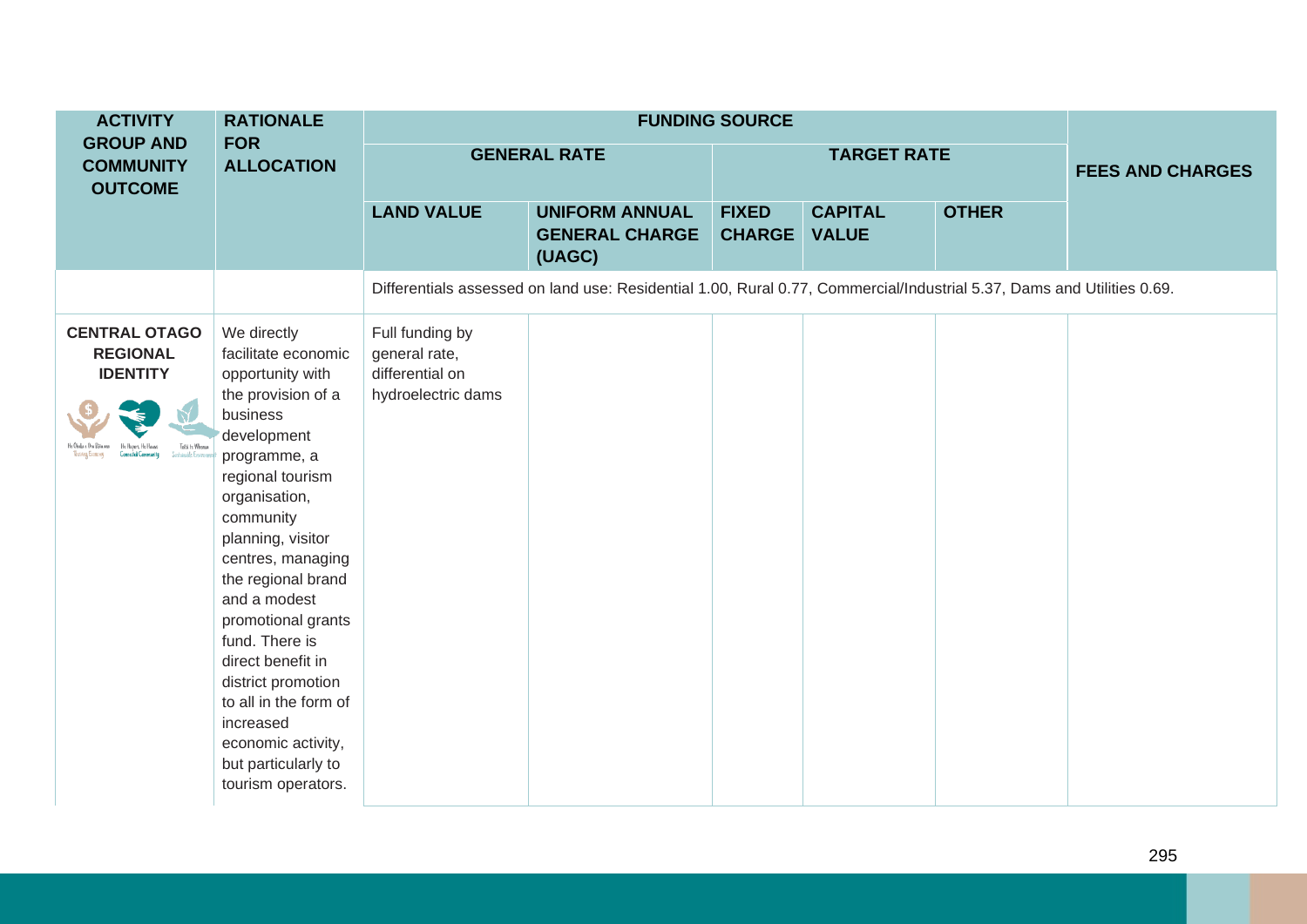| <b>ACTIVITY</b>                                                                | <b>RATIONALE</b>                                                                                                                                                                                                                                                                                                                                                                                                                                      |                                                                           |                                                                                                                        |                               |                                |                         |  |
|--------------------------------------------------------------------------------|-------------------------------------------------------------------------------------------------------------------------------------------------------------------------------------------------------------------------------------------------------------------------------------------------------------------------------------------------------------------------------------------------------------------------------------------------------|---------------------------------------------------------------------------|------------------------------------------------------------------------------------------------------------------------|-------------------------------|--------------------------------|-------------------------|--|
| <b>GROUP AND</b><br><b>COMMUNITY</b><br><b>OUTCOME</b>                         | <b>FOR</b><br><b>ALLOCATION</b>                                                                                                                                                                                                                                                                                                                                                                                                                       | <b>GENERAL RATE</b>                                                       |                                                                                                                        |                               | <b>TARGET RATE</b>             | <b>FEES AND CHARGES</b> |  |
|                                                                                |                                                                                                                                                                                                                                                                                                                                                                                                                                                       | <b>LAND VALUE</b>                                                         | <b>UNIFORM ANNUAL</b><br><b>GENERAL CHARGE</b><br>(UAGC)                                                               | <b>FIXED</b><br><b>CHARGE</b> | <b>CAPITAL</b><br><b>VALUE</b> | <b>OTHER</b>            |  |
|                                                                                |                                                                                                                                                                                                                                                                                                                                                                                                                                                       |                                                                           | Differentials assessed on land use: Residential 1.00, Rural 0.77, Commercial/Industrial 5.37, Dams and Utilities 0.69. |                               |                                |                         |  |
| <b>CENTRAL OTAGO</b><br><b>REGIONAL</b><br><b>IDENTITY</b><br>Toitii te Whenua | We directly<br>facilitate economic<br>opportunity with<br>the provision of a<br>business<br>development<br>programme, a<br>regional tourism<br>organisation,<br>community<br>planning, visitor<br>centres, managing<br>the regional brand<br>and a modest<br>promotional grants<br>fund. There is<br>direct benefit in<br>district promotion<br>to all in the form of<br>increased<br>economic activity,<br>but particularly to<br>tourism operators. | Full funding by<br>general rate,<br>differential on<br>hydroelectric dams |                                                                                                                        |                               |                                |                         |  |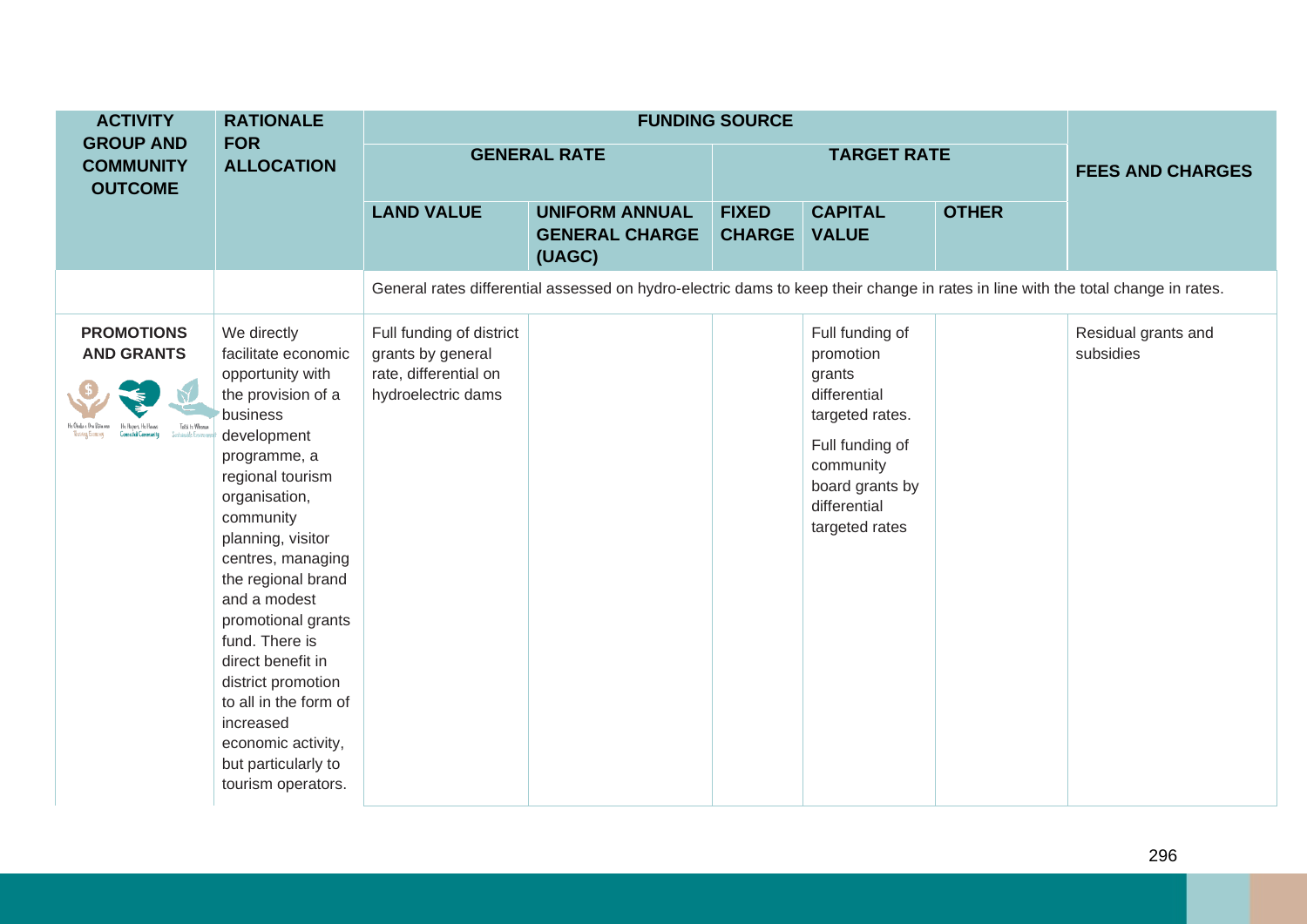| <b>ACTIVITY</b>                                           | <b>RATIONALE</b>                                                                                                                                                                                                                                                                                                                                                                                                                                      |                                                                                              |                                                                                                                                  | <b>FUNDING SOURCE</b>         |                                                                                                                                                                |                         |                                  |
|-----------------------------------------------------------|-------------------------------------------------------------------------------------------------------------------------------------------------------------------------------------------------------------------------------------------------------------------------------------------------------------------------------------------------------------------------------------------------------------------------------------------------------|----------------------------------------------------------------------------------------------|----------------------------------------------------------------------------------------------------------------------------------|-------------------------------|----------------------------------------------------------------------------------------------------------------------------------------------------------------|-------------------------|----------------------------------|
| <b>GROUP AND</b><br><b>COMMUNITY</b><br><b>OUTCOME</b>    | <b>FOR</b><br><b>ALLOCATION</b>                                                                                                                                                                                                                                                                                                                                                                                                                       | <b>GENERAL RATE</b>                                                                          |                                                                                                                                  |                               | <b>TARGET RATE</b>                                                                                                                                             | <b>FEES AND CHARGES</b> |                                  |
|                                                           |                                                                                                                                                                                                                                                                                                                                                                                                                                                       | <b>LAND VALUE</b>                                                                            | <b>UNIFORM ANNUAL</b><br><b>GENERAL CHARGE</b><br>(UAGC)                                                                         | <b>FIXED</b><br><b>CHARGE</b> | <b>CAPITAL</b><br><b>VALUE</b>                                                                                                                                 | <b>OTHER</b>            |                                  |
|                                                           |                                                                                                                                                                                                                                                                                                                                                                                                                                                       |                                                                                              | General rates differential assessed on hydro-electric dams to keep their change in rates in line with the total change in rates. |                               |                                                                                                                                                                |                         |                                  |
| <b>PROMOTIONS</b><br><b>AND GRANTS</b><br>Toita te Whenua | We directly<br>facilitate economic<br>opportunity with<br>the provision of a<br>business<br>development<br>programme, a<br>regional tourism<br>organisation,<br>community<br>planning, visitor<br>centres, managing<br>the regional brand<br>and a modest<br>promotional grants<br>fund. There is<br>direct benefit in<br>district promotion<br>to all in the form of<br>increased<br>economic activity,<br>but particularly to<br>tourism operators. | Full funding of district<br>grants by general<br>rate, differential on<br>hydroelectric dams |                                                                                                                                  |                               | Full funding of<br>promotion<br>grants<br>differential<br>targeted rates.<br>Full funding of<br>community<br>board grants by<br>differential<br>targeted rates |                         | Residual grants and<br>subsidies |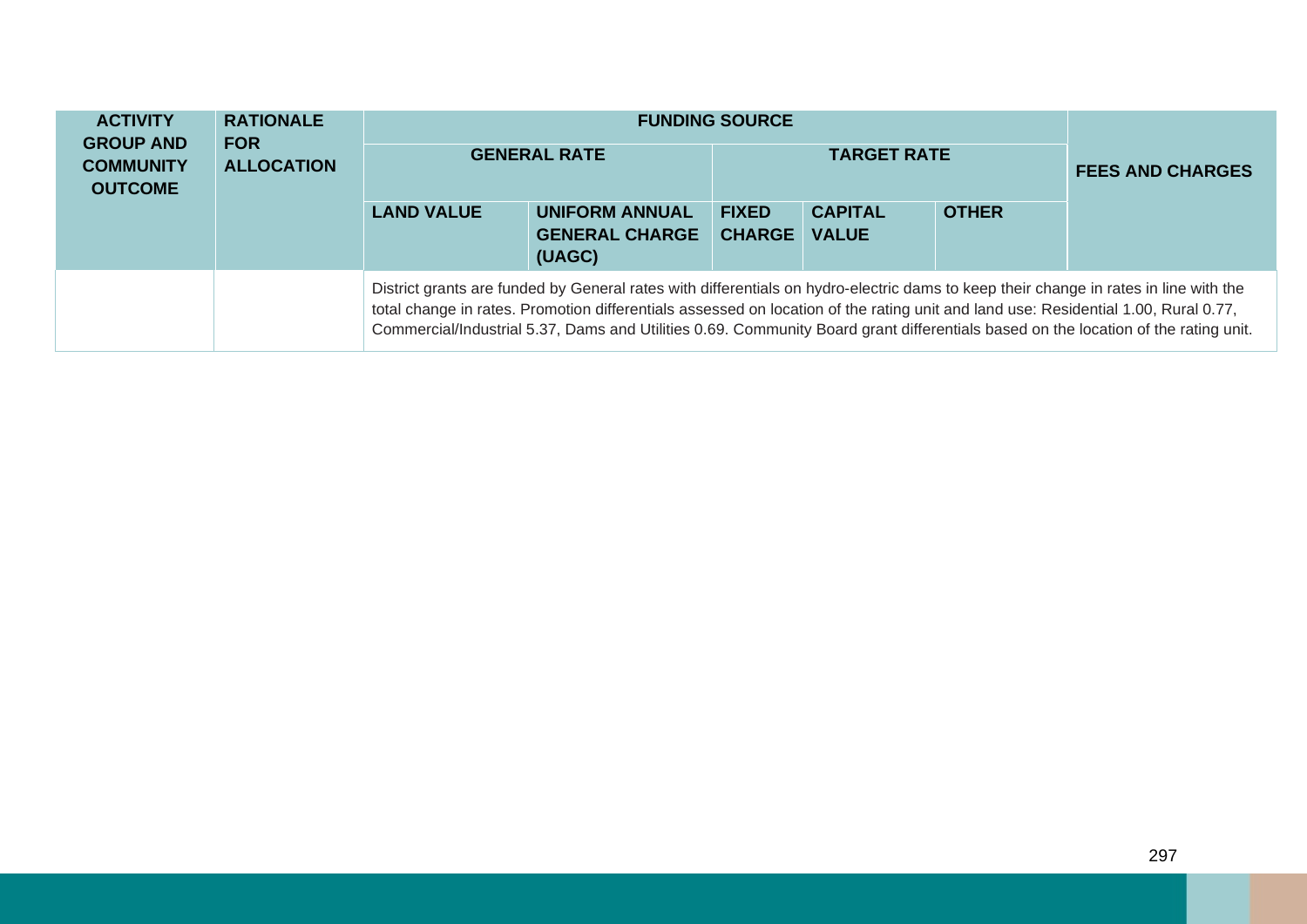| <b>ACTIVITY</b><br><b>GROUP AND</b><br><b>COMMUNITY</b><br><b>OUTCOME</b> | <b>RATIONALE</b><br><b>FOR</b><br><b>ALLOCATION</b> | <b>GENERAL RATE</b> |                                                                                                                                                                                                                                                                            | <b>FUNDING SOURCE</b><br><b>TARGET RATE</b> |                                |              | <b>FEES AND CHARGES</b>                                                                                                            |  |
|---------------------------------------------------------------------------|-----------------------------------------------------|---------------------|----------------------------------------------------------------------------------------------------------------------------------------------------------------------------------------------------------------------------------------------------------------------------|---------------------------------------------|--------------------------------|--------------|------------------------------------------------------------------------------------------------------------------------------------|--|
|                                                                           |                                                     | <b>LAND VALUE</b>   | <b>UNIFORM ANNUAL</b><br><b>GENERAL CHARGE</b><br>(UAGC)                                                                                                                                                                                                                   | <b>FIXED</b><br><b>CHARGE</b>               | <b>CAPITAL</b><br><b>VALUE</b> | <b>OTHER</b> |                                                                                                                                    |  |
|                                                                           |                                                     |                     | District grants are funded by General rates with differentials on hydro-electric dams to keep their change in rates in line with the<br>total change in rates. Promotion differentials assessed on location of the rating unit and land use: Residential 1.00, Rural 0.77, |                                             |                                |              | Commercial/Industrial 5.37, Dams and Utilities 0.69. Community Board grant differentials based on the location of the rating unit. |  |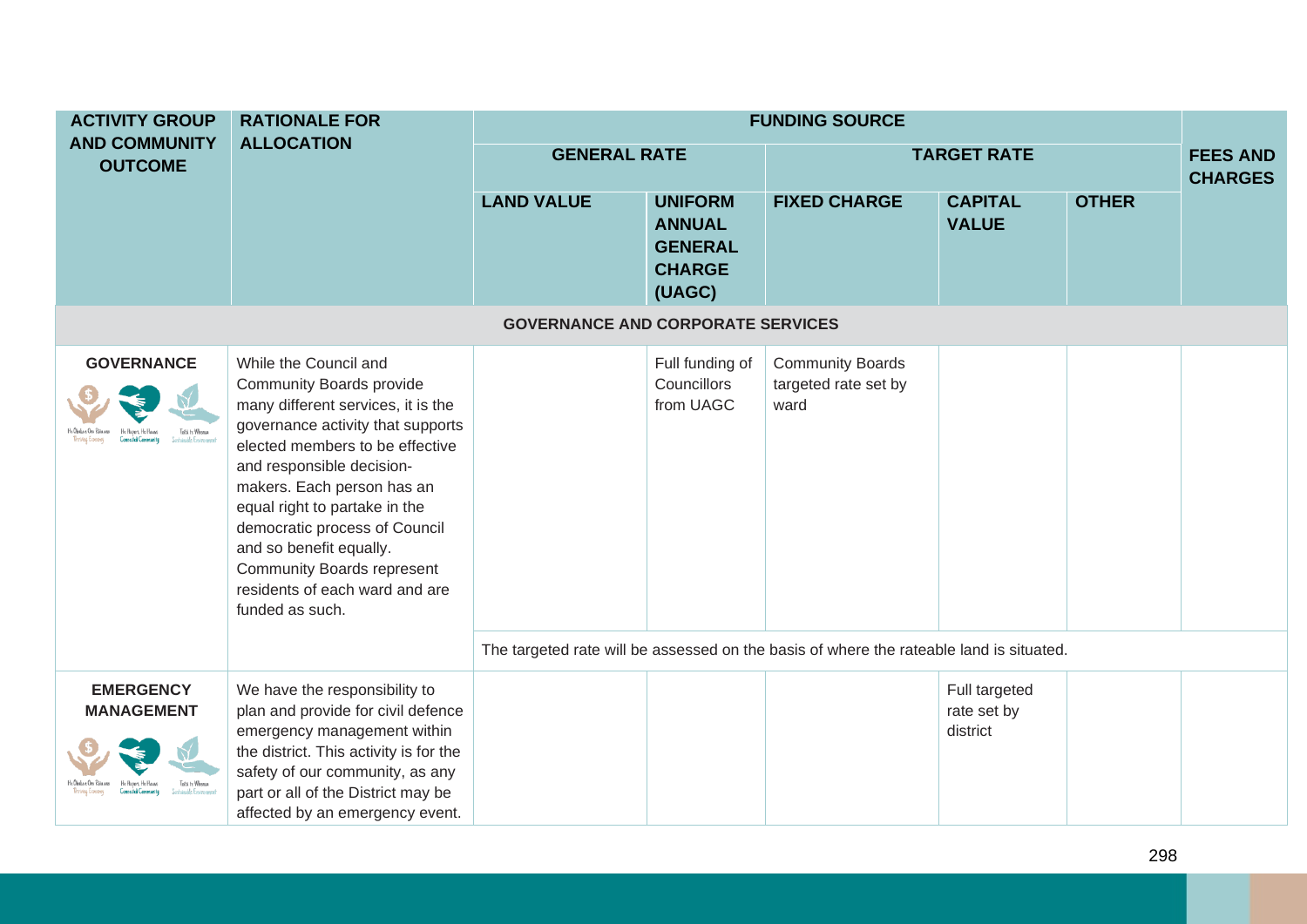| <b>ACTIVITY GROUP</b>                                    | <b>RATIONALE FOR</b>                                                                                                                                                                                                                                                                                                                                                                                                     | <b>FUNDING SOURCE</b>                                                                   |                                                                              |                                                         |                                          |              |                                   |  |
|----------------------------------------------------------|--------------------------------------------------------------------------------------------------------------------------------------------------------------------------------------------------------------------------------------------------------------------------------------------------------------------------------------------------------------------------------------------------------------------------|-----------------------------------------------------------------------------------------|------------------------------------------------------------------------------|---------------------------------------------------------|------------------------------------------|--------------|-----------------------------------|--|
| <b>AND COMMUNITY</b><br><b>OUTCOME</b>                   | <b>ALLOCATION</b>                                                                                                                                                                                                                                                                                                                                                                                                        | <b>GENERAL RATE</b>                                                                     |                                                                              |                                                         | <b>TARGET RATE</b>                       |              | <b>FEES AND</b><br><b>CHARGES</b> |  |
|                                                          |                                                                                                                                                                                                                                                                                                                                                                                                                          | <b>LAND VALUE</b>                                                                       | <b>UNIFORM</b><br><b>ANNUAL</b><br><b>GENERAL</b><br><b>CHARGE</b><br>(UAGC) | <b>FIXED CHARGE</b>                                     | <b>CAPITAL</b><br><b>VALUE</b>           | <b>OTHER</b> |                                   |  |
|                                                          |                                                                                                                                                                                                                                                                                                                                                                                                                          | <b>GOVERNANCE AND CORPORATE SERVICES</b>                                                |                                                                              |                                                         |                                          |              |                                   |  |
| <b>GOVERNANCE</b><br>Toitii te Whemia                    | While the Council and<br><b>Community Boards provide</b><br>many different services, it is the<br>governance activity that supports<br>elected members to be effective<br>and responsible decision-<br>makers. Each person has an<br>equal right to partake in the<br>democratic process of Council<br>and so benefit equally.<br><b>Community Boards represent</b><br>residents of each ward and are<br>funded as such. |                                                                                         | Full funding of<br>Councillors<br>from UAGC                                  | <b>Community Boards</b><br>targeted rate set by<br>ward |                                          |              |                                   |  |
|                                                          |                                                                                                                                                                                                                                                                                                                                                                                                                          | The targeted rate will be assessed on the basis of where the rateable land is situated. |                                                                              |                                                         |                                          |              |                                   |  |
| <b>EMERGENCY</b><br><b>MANAGEMENT</b><br>oitii te Whemia | We have the responsibility to<br>plan and provide for civil defence<br>emergency management within<br>the district. This activity is for the<br>safety of our community, as any<br>part or all of the District may be<br>affected by an emergency event.                                                                                                                                                                 |                                                                                         |                                                                              |                                                         | Full targeted<br>rate set by<br>district |              |                                   |  |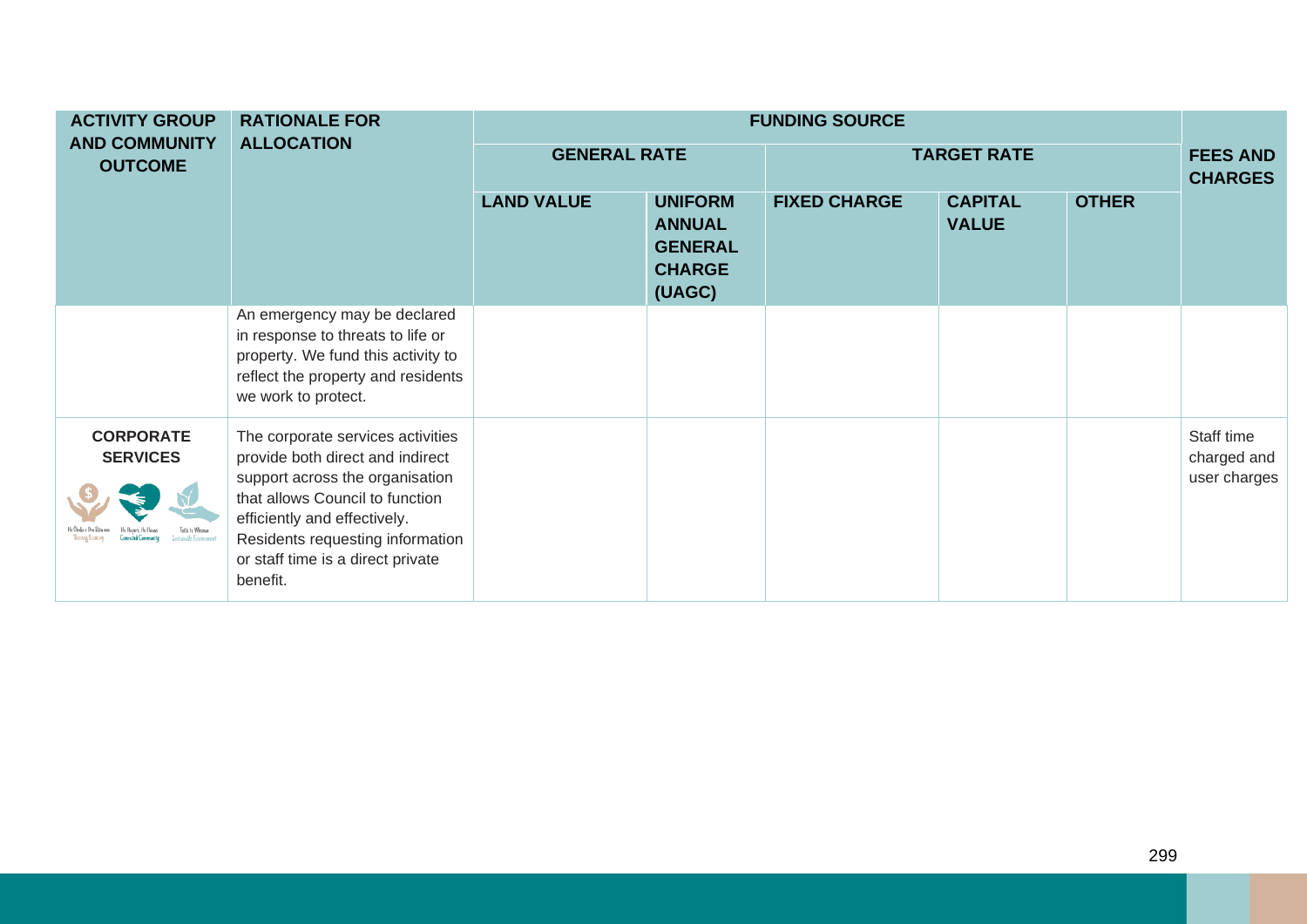| <b>ACTIVITY GROUP</b>                  | <b>RATIONALE FOR</b>                                                                                                                                                                                                                                             | <b>FUNDING SOURCE</b> |                                                                              |                     |                                |              |                                           |  |  |
|----------------------------------------|------------------------------------------------------------------------------------------------------------------------------------------------------------------------------------------------------------------------------------------------------------------|-----------------------|------------------------------------------------------------------------------|---------------------|--------------------------------|--------------|-------------------------------------------|--|--|
| <b>AND COMMUNITY</b><br><b>OUTCOME</b> | <b>ALLOCATION</b>                                                                                                                                                                                                                                                | <b>GENERAL RATE</b>   |                                                                              |                     | <b>TARGET RATE</b>             |              | <b>FEES AND</b><br><b>CHARGES</b>         |  |  |
|                                        |                                                                                                                                                                                                                                                                  | <b>LAND VALUE</b>     | <b>UNIFORM</b><br><b>ANNUAL</b><br><b>GENERAL</b><br><b>CHARGE</b><br>(UAGC) | <b>FIXED CHARGE</b> | <b>CAPITAL</b><br><b>VALUE</b> | <b>OTHER</b> |                                           |  |  |
|                                        | An emergency may be declared<br>in response to threats to life or<br>property. We fund this activity to<br>reflect the property and residents<br>we work to protect.                                                                                             |                       |                                                                              |                     |                                |              |                                           |  |  |
| <b>CORPORATE</b><br><b>SERVICES</b>    | The corporate services activities<br>provide both direct and indirect<br>support across the organisation<br>that allows Council to function<br>efficiently and effectively.<br>Residents requesting information<br>or staff time is a direct private<br>benefit. |                       |                                                                              |                     |                                |              | Staff time<br>charged and<br>user charges |  |  |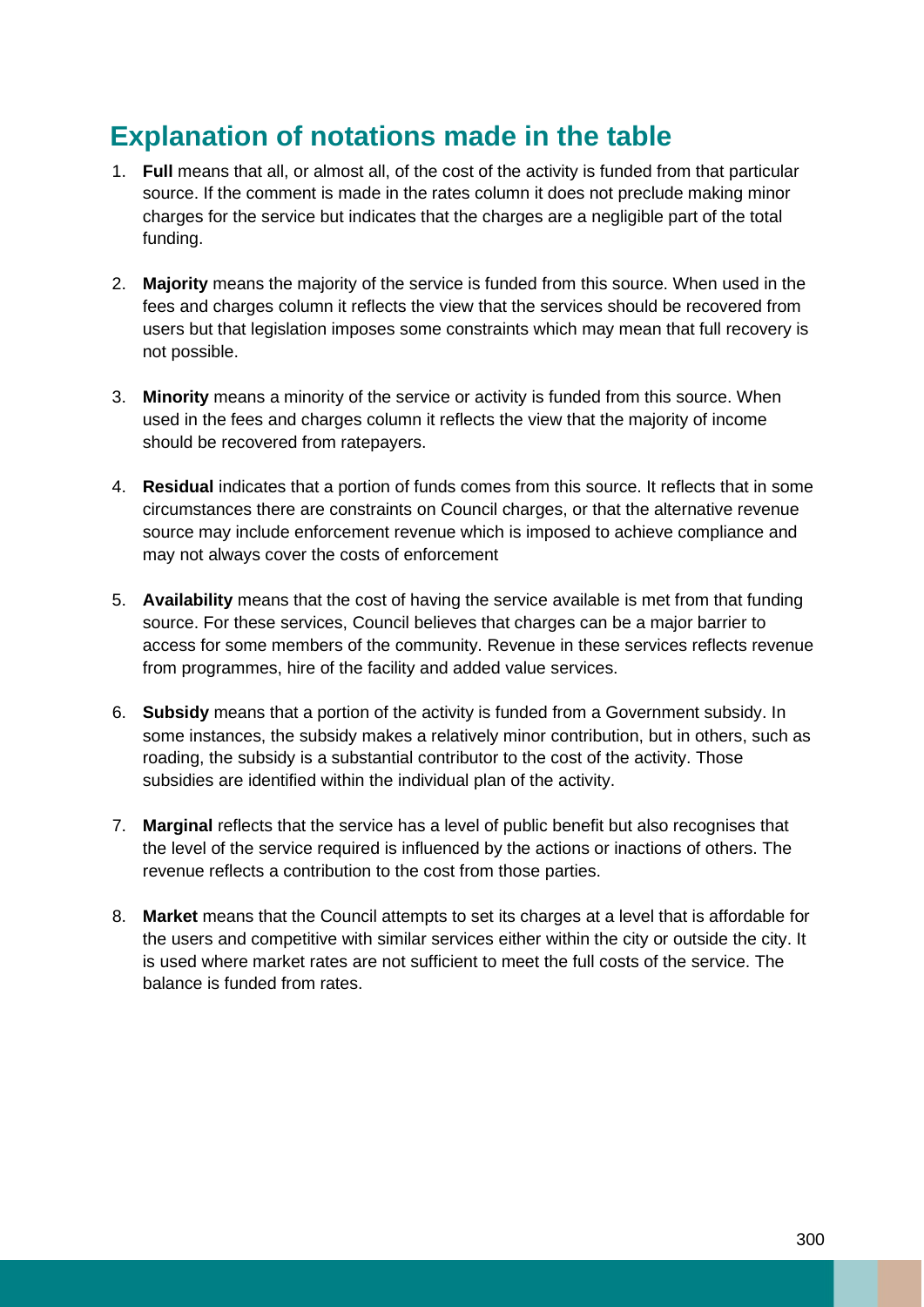## **Explanation of notations made in the table**

- 1. **Full** means that all, or almost all, of the cost of the activity is funded from that particular source. If the comment is made in the rates column it does not preclude making minor charges for the service but indicates that the charges are a negligible part of the total funding.
- 2. **Majority** means the majority of the service is funded from this source. When used in the fees and charges column it reflects the view that the services should be recovered from users but that legislation imposes some constraints which may mean that full recovery is not possible.
- 3. **Minority** means a minority of the service or activity is funded from this source. When used in the fees and charges column it reflects the view that the majority of income should be recovered from ratepayers.
- 4. **Residual** indicates that a portion of funds comes from this source. It reflects that in some circumstances there are constraints on Council charges, or that the alternative revenue source may include enforcement revenue which is imposed to achieve compliance and may not always cover the costs of enforcement
- 5. **Availability** means that the cost of having the service available is met from that funding source. For these services, Council believes that charges can be a major barrier to access for some members of the community. Revenue in these services reflects revenue from programmes, hire of the facility and added value services.
- 6. **Subsidy** means that a portion of the activity is funded from a Government subsidy. In some instances, the subsidy makes a relatively minor contribution, but in others, such as roading, the subsidy is a substantial contributor to the cost of the activity. Those subsidies are identified within the individual plan of the activity.
- 7. **Marginal** reflects that the service has a level of public benefit but also recognises that the level of the service required is influenced by the actions or inactions of others. The revenue reflects a contribution to the cost from those parties.
- 8. **Market** means that the Council attempts to set its charges at a level that is affordable for the users and competitive with similar services either within the city or outside the city. It is used where market rates are not sufficient to meet the full costs of the service. The balance is funded from rates.